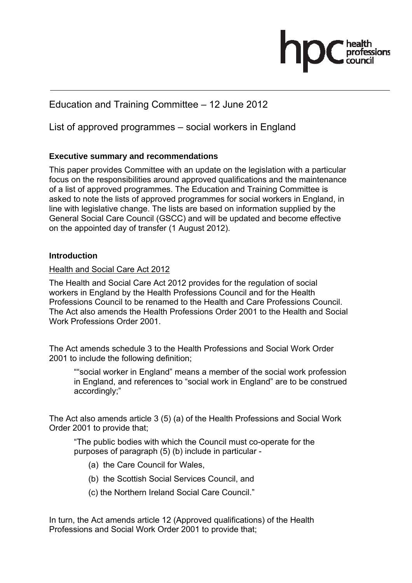## Education and Training Committee – 12 June 2012

List of approved programmes – social workers in England

### **Executive summary and recommendations**

This paper provides Committee with an update on the legislation with a particular focus on the responsibilities around approved qualifications and the maintenance of a list of approved programmes. The Education and Training Committee is asked to note the lists of approved programmes for social workers in England, in line with legislative change. The lists are based on information supplied by the General Social Care Council (GSCC) and will be updated and become effective on the appointed day of transfer (1 August 2012).

#### **Introduction**

#### Health and Social Care Act 2012

The Health and Social Care Act 2012 provides for the regulation of social workers in England by the Health Professions Council and for the Health Professions Council to be renamed to the Health and Care Professions Council. The Act also amends the Health Professions Order 2001 to the Health and Social Work Professions Order 2001.

The Act amends schedule 3 to the Health Professions and Social Work Order 2001 to include the following definition;

""social worker in England" means a member of the social work profession in England, and references to "social work in England" are to be construed accordingly;"

The Act also amends article 3 (5) (a) of the Health Professions and Social Work Order 2001 to provide that;

"The public bodies with which the Council must co-operate for the purposes of paragraph (5) (b) include in particular -

- (a) the Care Council for Wales,
- (b) the Scottish Social Services Council, and
- (c) the Northern Ireland Social Care Council."

In turn, the Act amends article 12 (Approved qualifications) of the Health Professions and Social Work Order 2001 to provide that;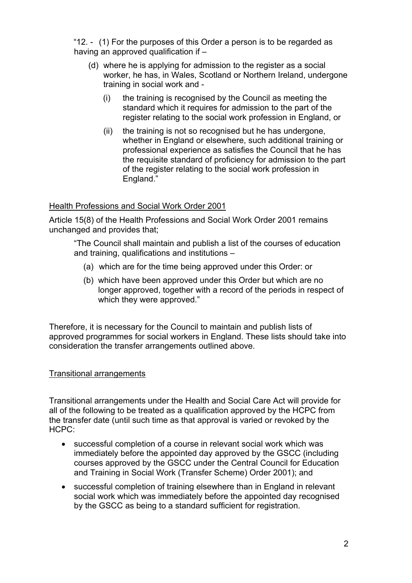"12. - (1) For the purposes of this Order a person is to be regarded as having an approved qualification if –

- (d) where he is applying for admission to the register as a social worker, he has, in Wales, Scotland or Northern Ireland, undergone training in social work and -
	- (i) the training is recognised by the Council as meeting the standard which it requires for admission to the part of the register relating to the social work profession in England, or
	- (ii) the training is not so recognised but he has undergone, whether in England or elsewhere, such additional training or professional experience as satisfies the Council that he has the requisite standard of proficiency for admission to the part of the register relating to the social work profession in England."

#### Health Professions and Social Work Order 2001

Article 15(8) of the Health Professions and Social Work Order 2001 remains unchanged and provides that;

"The Council shall maintain and publish a list of the courses of education and training, qualifications and institutions –

- (a) which are for the time being approved under this Order: or
- (b) which have been approved under this Order but which are no longer approved, together with a record of the periods in respect of which they were approved."

Therefore, it is necessary for the Council to maintain and publish lists of approved programmes for social workers in England. These lists should take into consideration the transfer arrangements outlined above.

#### Transitional arrangements

Transitional arrangements under the Health and Social Care Act will provide for all of the following to be treated as a qualification approved by the HCPC from the transfer date (until such time as that approval is varied or revoked by the HCPC:

- successful completion of a course in relevant social work which was immediately before the appointed day approved by the GSCC (including courses approved by the GSCC under the Central Council for Education and Training in Social Work (Transfer Scheme) Order 2001); and
- successful completion of training elsewhere than in England in relevant social work which was immediately before the appointed day recognised by the GSCC as being to a standard sufficient for registration.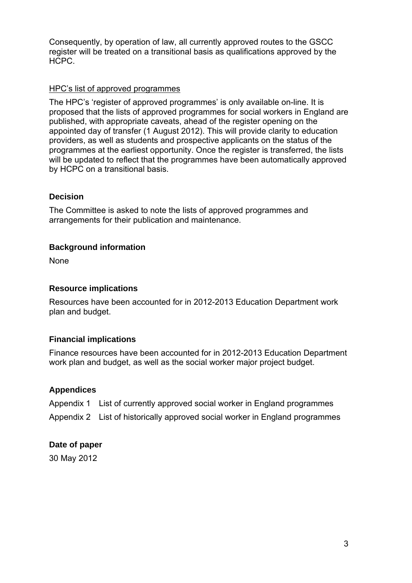Consequently, by operation of law, all currently approved routes to the GSCC register will be treated on a transitional basis as qualifications approved by the HCPC.

#### HPC's list of approved programmes

The HPC's 'register of approved programmes' is only available on-line. It is proposed that the lists of approved programmes for social workers in England are published, with appropriate caveats, ahead of the register opening on the appointed day of transfer (1 August 2012). This will provide clarity to education providers, as well as students and prospective applicants on the status of the programmes at the earliest opportunity. Once the register is transferred, the lists will be updated to reflect that the programmes have been automatically approved by HCPC on a transitional basis.

#### **Decision**

The Committee is asked to note the lists of approved programmes and arrangements for their publication and maintenance.

#### **Background information**

None

#### **Resource implications**

Resources have been accounted for in 2012-2013 Education Department work plan and budget.

#### **Financial implications**

Finance resources have been accounted for in 2012-2013 Education Department work plan and budget, as well as the social worker major project budget.

#### **Appendices**

Appendix 1 List of currently approved social worker in England programmes Appendix 2 List of historically approved social worker in England programmes

#### **Date of paper**

30 May 2012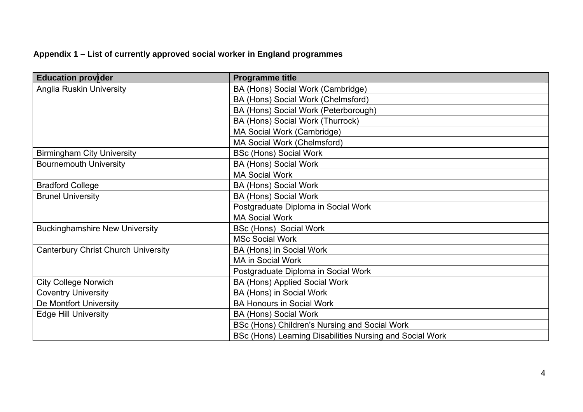# **Appendix 1 – List of currently approved social worker in England programmes**

| Education provider                         | <b>Programme title</b>                                   |
|--------------------------------------------|----------------------------------------------------------|
| <b>Anglia Ruskin University</b>            | BA (Hons) Social Work (Cambridge)                        |
|                                            | BA (Hons) Social Work (Chelmsford)                       |
|                                            | BA (Hons) Social Work (Peterborough)                     |
|                                            | BA (Hons) Social Work (Thurrock)                         |
|                                            | MA Social Work (Cambridge)                               |
|                                            | MA Social Work (Chelmsford)                              |
| <b>Birmingham City University</b>          | <b>BSc (Hons) Social Work</b>                            |
| <b>Bournemouth University</b>              | <b>BA (Hons) Social Work</b>                             |
|                                            | <b>MA Social Work</b>                                    |
| <b>Bradford College</b>                    | <b>BA (Hons) Social Work</b>                             |
| <b>Brunel University</b>                   | <b>BA (Hons) Social Work</b>                             |
|                                            | Postgraduate Diploma in Social Work                      |
|                                            | <b>MA Social Work</b>                                    |
| <b>Buckinghamshire New University</b>      | <b>BSc (Hons) Social Work</b>                            |
|                                            | <b>MSc Social Work</b>                                   |
| <b>Canterbury Christ Church University</b> | BA (Hons) in Social Work                                 |
|                                            | <b>MA in Social Work</b>                                 |
|                                            | Postgraduate Diploma in Social Work                      |
| <b>City College Norwich</b>                | BA (Hons) Applied Social Work                            |
| <b>Coventry University</b>                 | BA (Hons) in Social Work                                 |
| De Montfort University                     | <b>BA Honours in Social Work</b>                         |
| <b>Edge Hill University</b>                | <b>BA (Hons) Social Work</b>                             |
|                                            | BSc (Hons) Children's Nursing and Social Work            |
|                                            | BSc (Hons) Learning Disabilities Nursing and Social Work |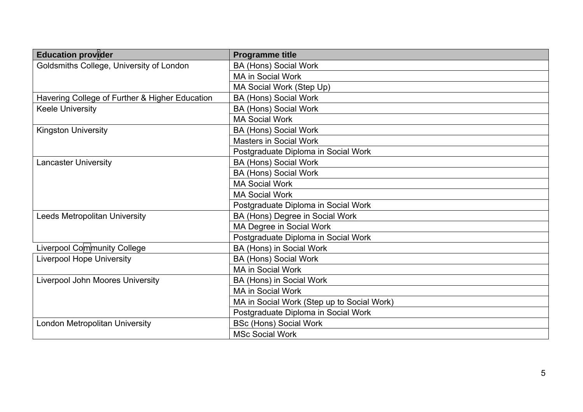| <b>Education provider</b>                      | <b>Programme title</b>                     |
|------------------------------------------------|--------------------------------------------|
| Goldsmiths College, University of London       | <b>BA (Hons) Social Work</b>               |
|                                                | <b>MA in Social Work</b>                   |
|                                                | MA Social Work (Step Up)                   |
| Havering College of Further & Higher Education | <b>BA (Hons) Social Work</b>               |
| <b>Keele University</b>                        | <b>BA (Hons) Social Work</b>               |
|                                                | <b>MA Social Work</b>                      |
| <b>Kingston University</b>                     | <b>BA (Hons) Social Work</b>               |
|                                                | <b>Masters in Social Work</b>              |
|                                                | Postgraduate Diploma in Social Work        |
| <b>Lancaster University</b>                    | <b>BA (Hons) Social Work</b>               |
|                                                | <b>BA (Hons) Social Work</b>               |
|                                                | <b>MA Social Work</b>                      |
|                                                | <b>MA Social Work</b>                      |
|                                                | Postgraduate Diploma in Social Work        |
| <b>Leeds Metropolitan University</b>           | BA (Hons) Degree in Social Work            |
|                                                | MA Degree in Social Work                   |
|                                                | Postgraduate Diploma in Social Work        |
| Liverpool Community College                    | BA (Hons) in Social Work                   |
| <b>Liverpool Hope University</b>               | <b>BA (Hons) Social Work</b>               |
|                                                | <b>MA in Social Work</b>                   |
| <b>Liverpool John Moores University</b>        | BA (Hons) in Social Work                   |
|                                                | <b>MA in Social Work</b>                   |
|                                                | MA in Social Work (Step up to Social Work) |
|                                                | Postgraduate Diploma in Social Work        |
| London Metropolitan University                 | <b>BSc (Hons) Social Work</b>              |
|                                                | <b>MSc Social Work</b>                     |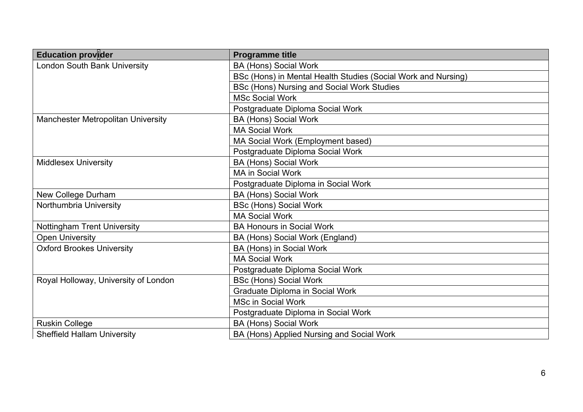| <b>Education provider</b>                 | <b>Programme title</b>                                        |
|-------------------------------------------|---------------------------------------------------------------|
| <b>London South Bank University</b>       | <b>BA (Hons) Social Work</b>                                  |
|                                           | BSc (Hons) in Mental Health Studies (Social Work and Nursing) |
|                                           | <b>BSc (Hons) Nursing and Social Work Studies</b>             |
|                                           | <b>MSc Social Work</b>                                        |
|                                           | Postgraduate Diploma Social Work                              |
| <b>Manchester Metropolitan University</b> | <b>BA (Hons) Social Work</b>                                  |
|                                           | <b>MA Social Work</b>                                         |
|                                           | MA Social Work (Employment based)                             |
|                                           | Postgraduate Diploma Social Work                              |
| <b>Middlesex University</b>               | <b>BA (Hons) Social Work</b>                                  |
|                                           | <b>MA in Social Work</b>                                      |
|                                           | Postgraduate Diploma in Social Work                           |
| New College Durham                        | <b>BA (Hons) Social Work</b>                                  |
| Northumbria University                    | <b>BSc (Hons) Social Work</b>                                 |
|                                           | <b>MA Social Work</b>                                         |
| <b>Nottingham Trent University</b>        | <b>BA Honours in Social Work</b>                              |
| <b>Open University</b>                    | BA (Hons) Social Work (England)                               |
| <b>Oxford Brookes University</b>          | BA (Hons) in Social Work                                      |
|                                           | <b>MA Social Work</b>                                         |
|                                           | Postgraduate Diploma Social Work                              |
| Royal Holloway, University of London      | <b>BSc (Hons) Social Work</b>                                 |
|                                           | Graduate Diploma in Social Work                               |
|                                           | <b>MSc in Social Work</b>                                     |
|                                           | Postgraduate Diploma in Social Work                           |
| <b>Ruskin College</b>                     | <b>BA (Hons) Social Work</b>                                  |
| <b>Sheffield Hallam University</b>        | BA (Hons) Applied Nursing and Social Work                     |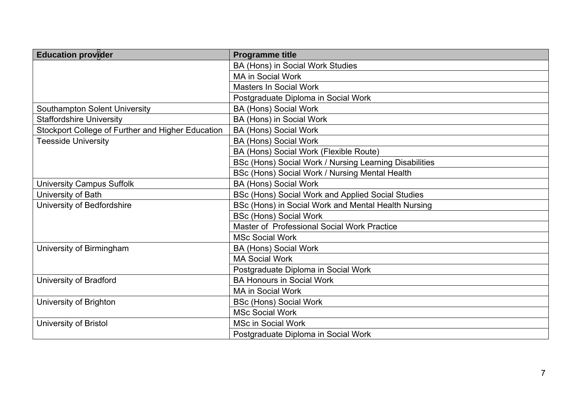| <b>Education provider</b>                         | <b>Programme title</b>                                 |
|---------------------------------------------------|--------------------------------------------------------|
|                                                   | BA (Hons) in Social Work Studies                       |
|                                                   | <b>MA in Social Work</b>                               |
|                                                   | <b>Masters In Social Work</b>                          |
|                                                   | Postgraduate Diploma in Social Work                    |
| <b>Southampton Solent University</b>              | <b>BA (Hons) Social Work</b>                           |
| <b>Staffordshire University</b>                   | BA (Hons) in Social Work                               |
| Stockport College of Further and Higher Education | <b>BA (Hons) Social Work</b>                           |
| <b>Teesside University</b>                        | <b>BA (Hons) Social Work</b>                           |
|                                                   | BA (Hons) Social Work (Flexible Route)                 |
|                                                   | BSc (Hons) Social Work / Nursing Learning Disabilities |
|                                                   | BSc (Hons) Social Work / Nursing Mental Health         |
| <b>University Campus Suffolk</b>                  | <b>BA (Hons) Social Work</b>                           |
| University of Bath                                | BSc (Hons) Social Work and Applied Social Studies      |
| University of Bedfordshire                        | BSc (Hons) in Social Work and Mental Health Nursing    |
|                                                   | <b>BSc (Hons) Social Work</b>                          |
|                                                   | Master of Professional Social Work Practice            |
|                                                   | <b>MSc Social Work</b>                                 |
| University of Birmingham                          | BA (Hons) Social Work                                  |
|                                                   | <b>MA Social Work</b>                                  |
|                                                   | Postgraduate Diploma in Social Work                    |
| University of Bradford                            | <b>BA Honours in Social Work</b>                       |
|                                                   | <b>MA in Social Work</b>                               |
| University of Brighton                            | <b>BSc (Hons) Social Work</b>                          |
|                                                   | <b>MSc Social Work</b>                                 |
| University of Bristol                             | <b>MSc in Social Work</b>                              |
|                                                   | Postgraduate Diploma in Social Work                    |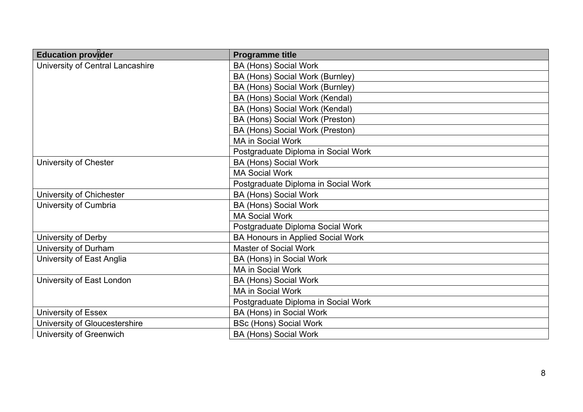| <b>Education provider</b>        | <b>Programme title</b>                   |
|----------------------------------|------------------------------------------|
| University of Central Lancashire | <b>BA (Hons) Social Work</b>             |
|                                  | BA (Hons) Social Work (Burnley)          |
|                                  | BA (Hons) Social Work (Burnley)          |
|                                  | BA (Hons) Social Work (Kendal)           |
|                                  | BA (Hons) Social Work (Kendal)           |
|                                  | BA (Hons) Social Work (Preston)          |
|                                  | BA (Hons) Social Work (Preston)          |
|                                  | <b>MA in Social Work</b>                 |
|                                  | Postgraduate Diploma in Social Work      |
| University of Chester            | <b>BA (Hons) Social Work</b>             |
|                                  | <b>MA Social Work</b>                    |
|                                  | Postgraduate Diploma in Social Work      |
| University of Chichester         | <b>BA (Hons) Social Work</b>             |
| University of Cumbria            | <b>BA (Hons) Social Work</b>             |
|                                  | <b>MA Social Work</b>                    |
|                                  | Postgraduate Diploma Social Work         |
| University of Derby              | <b>BA Honours in Applied Social Work</b> |
| University of Durham             | <b>Master of Social Work</b>             |
| University of East Anglia        | BA (Hons) in Social Work                 |
|                                  | <b>MA in Social Work</b>                 |
| University of East London        | <b>BA (Hons) Social Work</b>             |
|                                  | <b>MA in Social Work</b>                 |
|                                  | Postgraduate Diploma in Social Work      |
| University of Essex              | BA (Hons) in Social Work                 |
| University of Gloucestershire    | <b>BSc (Hons) Social Work</b>            |
| University of Greenwich          | <b>BA (Hons) Social Work</b>             |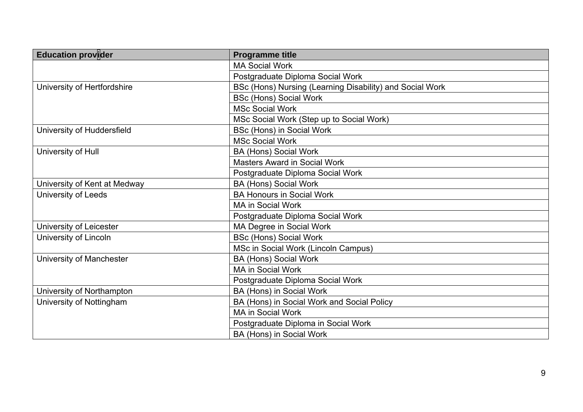| <b>Education provider</b>    | <b>Programme title</b>                                   |
|------------------------------|----------------------------------------------------------|
|                              | <b>MA Social Work</b>                                    |
|                              | Postgraduate Diploma Social Work                         |
| University of Hertfordshire  | BSc (Hons) Nursing (Learning Disability) and Social Work |
|                              | <b>BSc (Hons) Social Work</b>                            |
|                              | <b>MSc Social Work</b>                                   |
|                              | MSc Social Work (Step up to Social Work)                 |
| University of Huddersfield   | BSc (Hons) in Social Work                                |
|                              | <b>MSc Social Work</b>                                   |
| University of Hull           | <b>BA (Hons) Social Work</b>                             |
|                              | <b>Masters Award in Social Work</b>                      |
|                              | Postgraduate Diploma Social Work                         |
| University of Kent at Medway | <b>BA (Hons) Social Work</b>                             |
| University of Leeds          | <b>BA Honours in Social Work</b>                         |
|                              | <b>MA in Social Work</b>                                 |
|                              | Postgraduate Diploma Social Work                         |
| University of Leicester      | MA Degree in Social Work                                 |
| University of Lincoln        | <b>BSc (Hons) Social Work</b>                            |
|                              | MSc in Social Work (Lincoln Campus)                      |
| University of Manchester     | <b>BA (Hons) Social Work</b>                             |
|                              | <b>MA in Social Work</b>                                 |
|                              | Postgraduate Diploma Social Work                         |
| University of Northampton    | BA (Hons) in Social Work                                 |
| University of Nottingham     | BA (Hons) in Social Work and Social Policy               |
|                              | <b>MA in Social Work</b>                                 |
|                              | Postgraduate Diploma in Social Work                      |
|                              | BA (Hons) in Social Work                                 |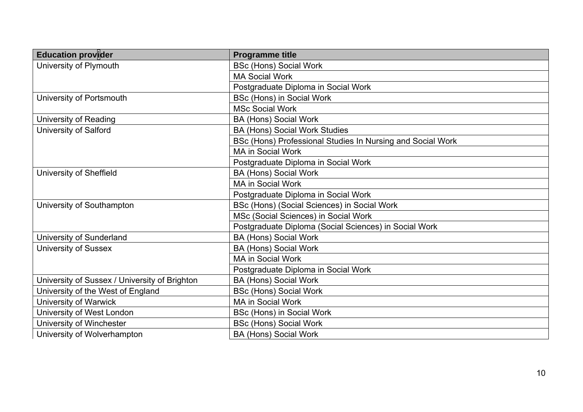| <b>Education provider</b>                     | <b>Programme title</b>                                     |
|-----------------------------------------------|------------------------------------------------------------|
| University of Plymouth                        | <b>BSc (Hons) Social Work</b>                              |
|                                               | <b>MA Social Work</b>                                      |
|                                               | Postgraduate Diploma in Social Work                        |
| University of Portsmouth                      | <b>BSc (Hons) in Social Work</b>                           |
|                                               | <b>MSc Social Work</b>                                     |
| University of Reading                         | <b>BA (Hons) Social Work</b>                               |
| <b>University of Salford</b>                  | <b>BA (Hons) Social Work Studies</b>                       |
|                                               | BSc (Hons) Professional Studies In Nursing and Social Work |
|                                               | <b>MA in Social Work</b>                                   |
|                                               | Postgraduate Diploma in Social Work                        |
| University of Sheffield                       | <b>BA (Hons) Social Work</b>                               |
|                                               | <b>MA in Social Work</b>                                   |
|                                               | Postgraduate Diploma in Social Work                        |
| University of Southampton                     | BSc (Hons) (Social Sciences) in Social Work                |
|                                               | MSc (Social Sciences) in Social Work                       |
|                                               | Postgraduate Diploma (Social Sciences) in Social Work      |
| University of Sunderland                      | <b>BA (Hons) Social Work</b>                               |
| <b>University of Sussex</b>                   | <b>BA (Hons) Social Work</b>                               |
|                                               | <b>MA in Social Work</b>                                   |
|                                               | Postgraduate Diploma in Social Work                        |
| University of Sussex / University of Brighton | <b>BA (Hons) Social Work</b>                               |
| University of the West of England             | <b>BSc (Hons) Social Work</b>                              |
| <b>University of Warwick</b>                  | MA in Social Work                                          |
| University of West London                     | BSc (Hons) in Social Work                                  |
| University of Winchester                      | <b>BSc (Hons) Social Work</b>                              |
| University of Wolverhampton                   | <b>BA (Hons) Social Work</b>                               |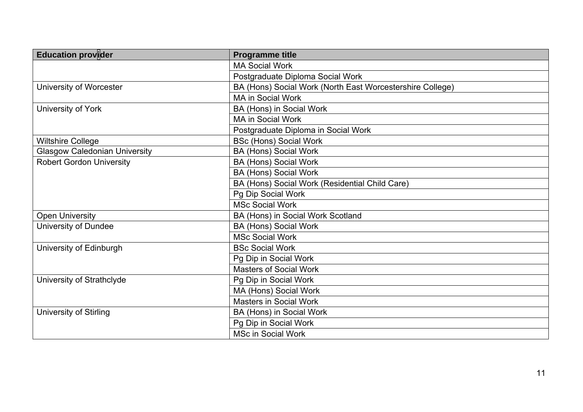| <b>Education provider</b>            | <b>Programme title</b>                                    |
|--------------------------------------|-----------------------------------------------------------|
|                                      | <b>MA Social Work</b>                                     |
|                                      | Postgraduate Diploma Social Work                          |
| University of Worcester              | BA (Hons) Social Work (North East Worcestershire College) |
|                                      | <b>MA in Social Work</b>                                  |
| University of York                   | BA (Hons) in Social Work                                  |
|                                      | <b>MA in Social Work</b>                                  |
|                                      | Postgraduate Diploma in Social Work                       |
| <b>Wiltshire College</b>             | <b>BSc (Hons) Social Work</b>                             |
| <b>Glasgow Caledonian University</b> | <b>BA (Hons) Social Work</b>                              |
| <b>Robert Gordon University</b>      | <b>BA (Hons) Social Work</b>                              |
|                                      | <b>BA (Hons) Social Work</b>                              |
|                                      | BA (Hons) Social Work (Residential Child Care)            |
|                                      | Pg Dip Social Work                                        |
|                                      | <b>MSc Social Work</b>                                    |
| <b>Open University</b>               | BA (Hons) in Social Work Scotland                         |
| University of Dundee                 | <b>BA (Hons) Social Work</b>                              |
|                                      | <b>MSc Social Work</b>                                    |
| University of Edinburgh              | <b>BSc Social Work</b>                                    |
|                                      | Pg Dip in Social Work                                     |
|                                      | <b>Masters of Social Work</b>                             |
| University of Strathclyde            | Pg Dip in Social Work                                     |
|                                      | MA (Hons) Social Work                                     |
|                                      | <b>Masters in Social Work</b>                             |
| University of Stirling               | BA (Hons) in Social Work                                  |
|                                      | Pg Dip in Social Work                                     |
|                                      | <b>MSc in Social Work</b>                                 |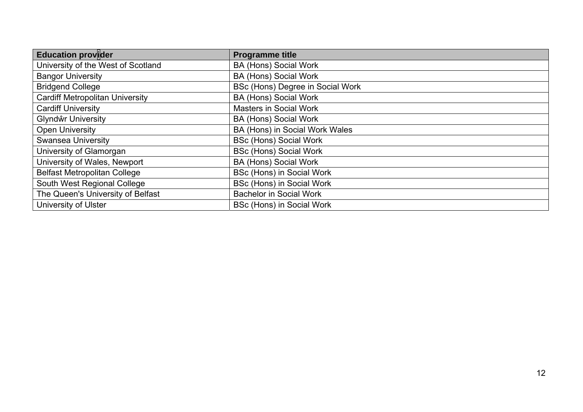| <b>Education provider</b>              | <b>Programme title</b>           |
|----------------------------------------|----------------------------------|
| University of the West of Scotland     | <b>BA (Hons) Social Work</b>     |
| <b>Bangor University</b>               | <b>BA (Hons) Social Work</b>     |
| <b>Bridgend College</b>                | BSc (Hons) Degree in Social Work |
| <b>Cardiff Metropolitan University</b> | <b>BA (Hons) Social Work</b>     |
| <b>Cardiff University</b>              | <b>Masters in Social Work</b>    |
| Glyndŵr University                     | <b>BA (Hons) Social Work</b>     |
| <b>Open University</b>                 | BA (Hons) in Social Work Wales   |
| <b>Swansea University</b>              | <b>BSc (Hons) Social Work</b>    |
| University of Glamorgan                | <b>BSc (Hons) Social Work</b>    |
| University of Wales, Newport           | <b>BA (Hons) Social Work</b>     |
| <b>Belfast Metropolitan College</b>    | BSc (Hons) in Social Work        |
| South West Regional College            | BSc (Hons) in Social Work        |
| The Queen's University of Belfast      | <b>Bachelor in Social Work</b>   |
| <b>University of Ulster</b>            | BSc (Hons) in Social Work        |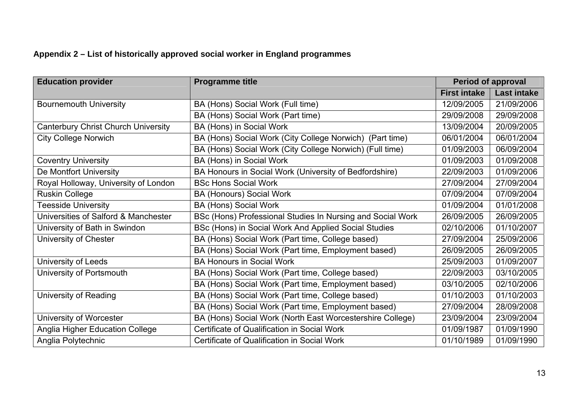## **Appendix 2 – List of historically approved social worker in England programmes**

| <b>Education provider</b>              | <b>Programme title</b>                                     | <b>Period of approval</b> |                    |
|----------------------------------------|------------------------------------------------------------|---------------------------|--------------------|
|                                        |                                                            | <b>First intake</b>       | <b>Last intake</b> |
| <b>Bournemouth University</b>          | BA (Hons) Social Work (Full time)                          | 12/09/2005                | 21/09/2006         |
|                                        | BA (Hons) Social Work (Part time)                          | 29/09/2008                | 29/09/2008         |
| Canterbury Christ Church University    | BA (Hons) in Social Work                                   | 13/09/2004                | 20/09/2005         |
| <b>City College Norwich</b>            | BA (Hons) Social Work (City College Norwich) (Part time)   | 06/01/2004                | 06/01/2004         |
|                                        | BA (Hons) Social Work (City College Norwich) (Full time)   | 01/09/2003                | 06/09/2004         |
| <b>Coventry University</b>             | BA (Hons) in Social Work                                   | 01/09/2003                | 01/09/2008         |
| De Montfort University                 | BA Honours in Social Work (University of Bedfordshire)     | 22/09/2003                | 01/09/2006         |
| Royal Holloway, University of London   | <b>BSc Hons Social Work</b>                                | 27/09/2004                | 27/09/2004         |
| <b>Ruskin College</b>                  | <b>BA (Honours) Social Work</b>                            | 07/09/2004                | 07/09/2004         |
| <b>Teesside University</b>             | <b>BA (Hons) Social Work</b>                               | 01/09/2004                | 01/01/2008         |
| Universities of Salford & Manchester   | BSc (Hons) Professional Studies In Nursing and Social Work | 26/09/2005                | 26/09/2005         |
| University of Bath in Swindon          | BSc (Hons) in Social Work And Applied Social Studies       | 02/10/2006                | 01/10/2007         |
| University of Chester                  | BA (Hons) Social Work (Part time, College based)           | 27/09/2004                | 25/09/2006         |
|                                        | BA (Hons) Social Work (Part time, Employment based)        | 26/09/2005                | 26/09/2005         |
| University of Leeds                    | <b>BA Honours in Social Work</b>                           | 25/09/2003                | 01/09/2007         |
| University of Portsmouth               | BA (Hons) Social Work (Part time, College based)           | 22/09/2003                | 03/10/2005         |
|                                        | BA (Hons) Social Work (Part time, Employment based)        | 03/10/2005                | 02/10/2006         |
| University of Reading                  | BA (Hons) Social Work (Part time, College based)           | 01/10/2003                | 01/10/2003         |
|                                        | BA (Hons) Social Work (Part time, Employment based)        | 27/09/2004                | 28/09/2008         |
| University of Worcester                | BA (Hons) Social Work (North East Worcestershire College)  | 23/09/2004                | 23/09/2004         |
| <b>Anglia Higher Education College</b> | Certificate of Qualification in Social Work                | 01/09/1987                | 01/09/1990         |
| Anglia Polytechnic                     | Certificate of Qualification in Social Work                | 01/10/1989                | 01/09/1990         |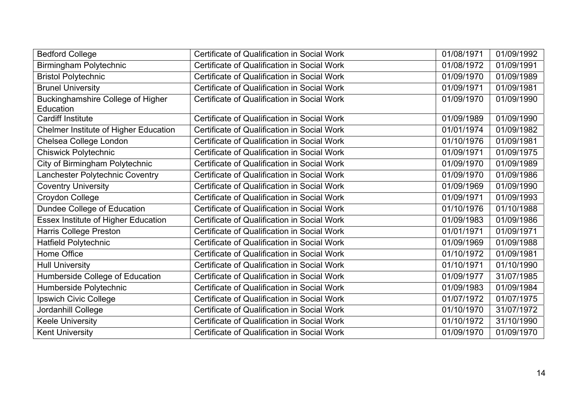| <b>Bedford College</b>                       | Certificate of Qualification in Social Work | 01/08/1971 | 01/09/1992 |
|----------------------------------------------|---------------------------------------------|------------|------------|
| Birmingham Polytechnic                       | Certificate of Qualification in Social Work | 01/08/1972 | 01/09/1991 |
| <b>Bristol Polytechnic</b>                   | Certificate of Qualification in Social Work | 01/09/1970 | 01/09/1989 |
| <b>Brunel University</b>                     | Certificate of Qualification in Social Work | 01/09/1971 | 01/09/1981 |
| <b>Buckinghamshire College of Higher</b>     | Certificate of Qualification in Social Work | 01/09/1970 | 01/09/1990 |
| Education                                    |                                             |            |            |
| <b>Cardiff Institute</b>                     | Certificate of Qualification in Social Work | 01/09/1989 | 01/09/1990 |
| <b>Chelmer Institute of Higher Education</b> | Certificate of Qualification in Social Work | 01/01/1974 | 01/09/1982 |
| Chelsea College London                       | Certificate of Qualification in Social Work | 01/10/1976 | 01/09/1981 |
| <b>Chiswick Polytechnic</b>                  | Certificate of Qualification in Social Work | 01/09/1971 | 01/09/1975 |
| City of Birmingham Polytechnic               | Certificate of Qualification in Social Work | 01/09/1970 | 01/09/1989 |
| Lanchester Polytechnic Coventry              | Certificate of Qualification in Social Work | 01/09/1970 | 01/09/1986 |
| <b>Coventry University</b>                   | Certificate of Qualification in Social Work | 01/09/1969 | 01/09/1990 |
| Croydon College                              | Certificate of Qualification in Social Work | 01/09/1971 | 01/09/1993 |
| Dundee College of Education                  | Certificate of Qualification in Social Work | 01/10/1976 | 01/10/1988 |
| Essex Institute of Higher Education          | Certificate of Qualification in Social Work | 01/09/1983 | 01/09/1986 |
| Harris College Preston                       | Certificate of Qualification in Social Work | 01/01/1971 | 01/09/1971 |
| Hatfield Polytechnic                         | Certificate of Qualification in Social Work | 01/09/1969 | 01/09/1988 |
| Home Office                                  | Certificate of Qualification in Social Work | 01/10/1972 | 01/09/1981 |
| <b>Hull University</b>                       | Certificate of Qualification in Social Work | 01/10/1971 | 01/10/1990 |
| Humberside College of Education              | Certificate of Qualification in Social Work | 01/09/1977 | 31/07/1985 |
| Humberside Polytechnic                       | Certificate of Qualification in Social Work | 01/09/1983 | 01/09/1984 |
| Ipswich Civic College                        | Certificate of Qualification in Social Work | 01/07/1972 | 01/07/1975 |
| Jordanhill College                           | Certificate of Qualification in Social Work | 01/10/1970 | 31/07/1972 |
| <b>Keele University</b>                      | Certificate of Qualification in Social Work | 01/10/1972 | 31/10/1990 |
| <b>Kent University</b>                       | Certificate of Qualification in Social Work | 01/09/1970 | 01/09/1970 |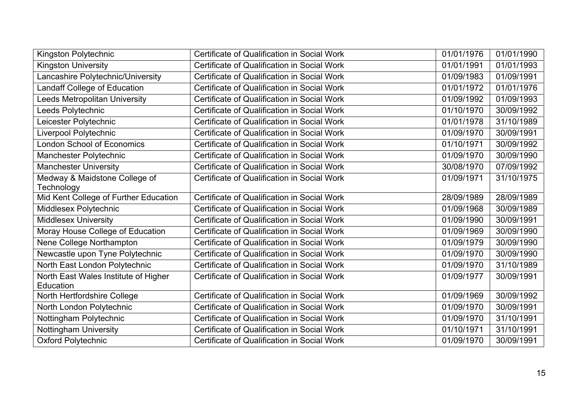| Kingston Polytechnic                  | Certificate of Qualification in Social Work | 01/01/1976 | 01/01/1990 |
|---------------------------------------|---------------------------------------------|------------|------------|
| <b>Kingston University</b>            | Certificate of Qualification in Social Work | 01/01/1991 | 01/01/1993 |
| Lancashire Polytechnic/University     | Certificate of Qualification in Social Work | 01/09/1983 | 01/09/1991 |
| Landaff College of Education          | Certificate of Qualification in Social Work | 01/01/1972 | 01/01/1976 |
| Leeds Metropolitan University         | Certificate of Qualification in Social Work | 01/09/1992 | 01/09/1993 |
| Leeds Polytechnic                     | Certificate of Qualification in Social Work | 01/10/1970 | 30/09/1992 |
| eicester Polytechnic                  | Certificate of Qualification in Social Work | 01/01/1978 | 31/10/1989 |
| Liverpool Polytechnic                 | Certificate of Qualification in Social Work | 01/09/1970 | 30/09/1991 |
| London School of Economics            | Certificate of Qualification in Social Work | 01/10/1971 | 30/09/1992 |
| Manchester Polytechnic                | Certificate of Qualification in Social Work | 01/09/1970 | 30/09/1990 |
| <b>Manchester University</b>          | Certificate of Qualification in Social Work | 30/08/1970 | 07/09/1992 |
| Medway & Maidstone College of         | Certificate of Qualification in Social Work | 01/09/1971 | 31/10/1975 |
| Technology                            |                                             |            |            |
| Mid Kent College of Further Education | Certificate of Qualification in Social Work | 28/09/1989 | 28/09/1989 |
| Middlesex Polytechnic                 | Certificate of Qualification in Social Work | 01/09/1968 | 30/09/1989 |
| <b>Middlesex University</b>           | Certificate of Qualification in Social Work | 01/09/1990 | 30/09/1991 |
| Moray House College of Education      | Certificate of Qualification in Social Work | 01/09/1969 | 30/09/1990 |
| Nene College Northampton              | Certificate of Qualification in Social Work | 01/09/1979 | 30/09/1990 |
| Newcastle upon Tyne Polytechnic       | Certificate of Qualification in Social Work | 01/09/1970 | 30/09/1990 |
| North East London Polytechnic         | Certificate of Qualification in Social Work | 01/09/1970 | 31/10/1989 |
| North East Wales Institute of Higher  | Certificate of Qualification in Social Work | 01/09/1977 | 30/09/1991 |
| Education                             |                                             |            |            |
| North Hertfordshire College           | Certificate of Qualification in Social Work | 01/09/1969 | 30/09/1992 |
| North London Polytechnic              | Certificate of Qualification in Social Work | 01/09/1970 | 30/09/1991 |
| Nottingham Polytechnic                | Certificate of Qualification in Social Work | 01/09/1970 | 31/10/1991 |
| <b>Nottingham University</b>          | Certificate of Qualification in Social Work | 01/10/1971 | 31/10/1991 |
| <b>Oxford Polytechnic</b>             | Certificate of Qualification in Social Work | 01/09/1970 | 30/09/1991 |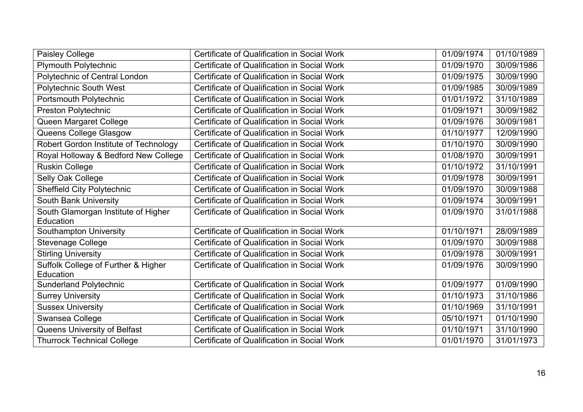| Paisley College                                  | Certificate of Qualification in Social Work | 01/09/1974 | 01/10/1989 |
|--------------------------------------------------|---------------------------------------------|------------|------------|
| <b>Plymouth Polytechnic</b>                      | Certificate of Qualification in Social Work | 01/09/1970 | 30/09/1986 |
| Polytechnic of Central London                    | Certificate of Qualification in Social Work | 01/09/1975 | 30/09/1990 |
| <b>Polytechnic South West</b>                    | Certificate of Qualification in Social Work | 01/09/1985 | 30/09/1989 |
| Portsmouth Polytechnic                           | Certificate of Qualification in Social Work | 01/01/1972 | 31/10/1989 |
| Preston Polytechnic                              | Certificate of Qualification in Social Work | 01/09/1971 | 30/09/1982 |
| Queen Margaret College                           | Certificate of Qualification in Social Work | 01/09/1976 | 30/09/1981 |
| Queens College Glasgow                           | Certificate of Qualification in Social Work | 01/10/1977 | 12/09/1990 |
| Robert Gordon Institute of Technology            | Certificate of Qualification in Social Work | 01/10/1970 | 30/09/1990 |
| Royal Holloway & Bedford New College             | Certificate of Qualification in Social Work | 01/08/1970 | 30/09/1991 |
| <b>Ruskin College</b>                            | Certificate of Qualification in Social Work | 01/10/1972 | 31/10/1991 |
| Selly Oak College                                | Certificate of Qualification in Social Work | 01/09/1978 | 30/09/1991 |
| <b>Sheffield City Polytechnic</b>                | Certificate of Qualification in Social Work | 01/09/1970 | 30/09/1988 |
| <b>South Bank University</b>                     | Certificate of Qualification in Social Work | 01/09/1974 | 30/09/1991 |
| South Glamorgan Institute of Higher<br>Education | Certificate of Qualification in Social Work | 01/09/1970 | 31/01/1988 |
| Southampton University                           | Certificate of Qualification in Social Work | 01/10/1971 | 28/09/1989 |
| <b>Stevenage College</b>                         | Certificate of Qualification in Social Work | 01/09/1970 | 30/09/1988 |
| <b>Stirling University</b>                       | Certificate of Qualification in Social Work | 01/09/1978 | 30/09/1991 |
| Suffolk College of Further & Higher<br>Education | Certificate of Qualification in Social Work | 01/09/1976 | 30/09/1990 |
| <b>Sunderland Polytechnic</b>                    | Certificate of Qualification in Social Work | 01/09/1977 | 01/09/1990 |
| <b>Surrey University</b>                         | Certificate of Qualification in Social Work | 01/10/1973 | 31/10/1986 |
| <b>Sussex University</b>                         | Certificate of Qualification in Social Work | 01/10/1969 | 31/10/1991 |
| Swansea College                                  | Certificate of Qualification in Social Work | 05/10/1971 | 01/10/1990 |
| Queens University of Belfast                     | Certificate of Qualification in Social Work | 01/10/1971 | 31/10/1990 |
| <b>Thurrock Technical College</b>                | Certificate of Qualification in Social Work | 01/01/1970 | 31/01/1973 |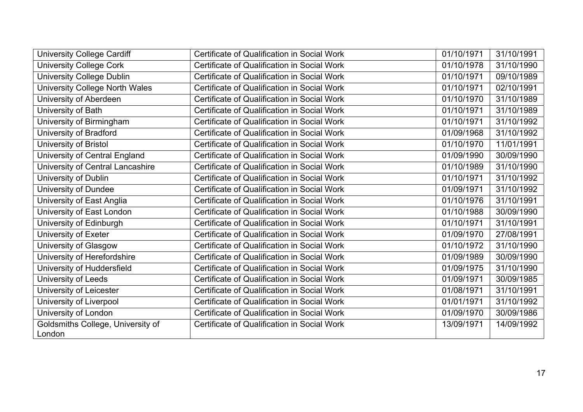| <b>University College Cardiff</b>           | Certificate of Qualification in Social Work | 01/10/1971 | 31/10/1991 |
|---------------------------------------------|---------------------------------------------|------------|------------|
| <b>University College Cork</b>              | Certificate of Qualification in Social Work | 01/10/1978 | 31/10/1990 |
| <b>University College Dublin</b>            | Certificate of Qualification in Social Work | 01/10/1971 | 09/10/1989 |
| University College North Wales              | Certificate of Qualification in Social Work | 01/10/1971 | 02/10/1991 |
| University of Aberdeen                      | Certificate of Qualification in Social Work | 01/10/1970 | 31/10/1989 |
| University of Bath                          | Certificate of Qualification in Social Work | 01/10/1971 | 31/10/1989 |
| University of Birmingham                    | Certificate of Qualification in Social Work | 01/10/1971 | 31/10/1992 |
| University of Bradford                      | Certificate of Qualification in Social Work | 01/09/1968 | 31/10/1992 |
| University of Bristol                       | Certificate of Qualification in Social Work | 01/10/1970 | 11/01/1991 |
| University of Central England               | Certificate of Qualification in Social Work | 01/09/1990 | 30/09/1990 |
| University of Central Lancashire            | Certificate of Qualification in Social Work | 01/10/1989 | 31/10/1990 |
| University of Dublin                        | Certificate of Qualification in Social Work | 01/10/1971 | 31/10/1992 |
| University of Dundee                        | Certificate of Qualification in Social Work | 01/09/1971 | 31/10/1992 |
| University of East Anglia                   | Certificate of Qualification in Social Work | 01/10/1976 | 31/10/1991 |
| University of East London                   | Certificate of Qualification in Social Work | 01/10/1988 | 30/09/1990 |
| University of Edinburgh                     | Certificate of Qualification in Social Work | 01/10/1971 | 31/10/1991 |
| University of Exeter                        | Certificate of Qualification in Social Work | 01/09/1970 | 27/08/1991 |
| University of Glasgow                       | Certificate of Qualification in Social Work | 01/10/1972 | 31/10/1990 |
| University of Herefordshire                 | Certificate of Qualification in Social Work | 01/09/1989 | 30/09/1990 |
| University of Huddersfield                  | Certificate of Qualification in Social Work | 01/09/1975 | 31/10/1990 |
| University of Leeds                         | Certificate of Qualification in Social Work | 01/09/1971 | 30/09/1985 |
| University of Leicester                     | Certificate of Qualification in Social Work | 01/08/1971 | 31/10/1991 |
| University of Liverpool                     | Certificate of Qualification in Social Work | 01/01/1971 | 31/10/1992 |
| University of London                        | Certificate of Qualification in Social Work | 01/09/1970 | 30/09/1986 |
| Goldsmiths College, University of<br>London | Certificate of Qualification in Social Work | 13/09/1971 | 14/09/1992 |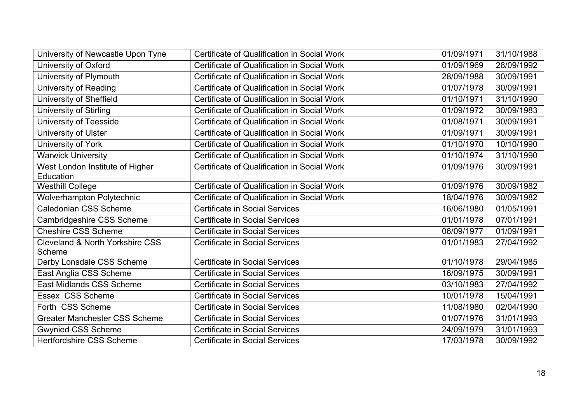| University of Newcastle Upon Tyne                    | Certificate of Qualification in Social Work | 01/09/1971 | 31/10/1988 |
|------------------------------------------------------|---------------------------------------------|------------|------------|
| University of Oxford                                 | Certificate of Qualification in Social Work | 01/09/1969 | 28/09/1992 |
| University of Plymouth                               | Certificate of Qualification in Social Work | 28/09/1988 | 30/09/1991 |
| <b>University of Reading</b>                         | Certificate of Qualification in Social Work | 01/07/1978 | 30/09/1991 |
| University of Sheffield                              | Certificate of Qualification in Social Work | 01/10/1971 | 31/10/1990 |
| University of Stirling                               | Certificate of Qualification in Social Work | 01/09/1972 | 30/09/1983 |
| University of Teesside                               | Certificate of Qualification in Social Work | 01/08/1971 | 30/09/1991 |
| University of Ulster                                 | Certificate of Qualification in Social Work | 01/09/1971 | 30/09/1991 |
| University of York                                   | Certificate of Qualification in Social Work | 01/10/1970 | 10/10/1990 |
| <b>Warwick University</b>                            | Certificate of Qualification in Social Work | 01/10/1974 | 31/10/1990 |
| West London Institute of Higher<br>Education         | Certificate of Qualification in Social Work | 01/09/1976 | 30/09/1991 |
| <b>Westhill College</b>                              | Certificate of Qualification in Social Work | 01/09/1976 | 30/09/1982 |
| <b>Wolverhampton Polytechnic</b>                     | Certificate of Qualification in Social Work | 18/04/1976 | 30/09/1982 |
| <b>Caledonian CSS Scheme</b>                         | <b>Certificate in Social Services</b>       | 16/06/1980 | 01/05/1991 |
| Cambridgeshire CSS Scheme                            | <b>Certificate in Social Services</b>       | 01/01/1978 | 07/01/1991 |
| <b>Cheshire CSS Scheme</b>                           | <b>Certificate in Social Services</b>       | 06/09/1977 | 01/09/1991 |
| <b>Cleveland &amp; North Yorkshire CSS</b><br>Scheme | <b>Certificate in Social Services</b>       | 01/01/1983 | 27/04/1992 |
| Derby Lonsdale CSS Scheme                            | Certificate in Social Services              | 01/10/1978 | 29/04/1985 |
| East Anglia CSS Scheme                               | <b>Certificate in Social Services</b>       | 16/09/1975 | 30/09/1991 |
| East Midlands CSS Scheme                             | <b>Certificate in Social Services</b>       | 03/10/1983 | 27/04/1992 |
| Essex CSS Scheme                                     | <b>Certificate in Social Services</b>       | 10/01/1978 | 15/04/1991 |
| Forth CSS Scheme                                     | <b>Certificate in Social Services</b>       | 11/08/1980 | 02/04/1990 |
| <b>Greater Manchester CSS Scheme</b>                 | <b>Certificate in Social Services</b>       | 01/07/1976 | 31/01/1993 |
| <b>Gwynied CSS Scheme</b>                            | <b>Certificate in Social Services</b>       | 24/09/1979 | 31/01/1993 |
| <b>Hertfordshire CSS Scheme</b>                      | <b>Certificate in Social Services</b>       | 17/03/1978 | 30/09/1992 |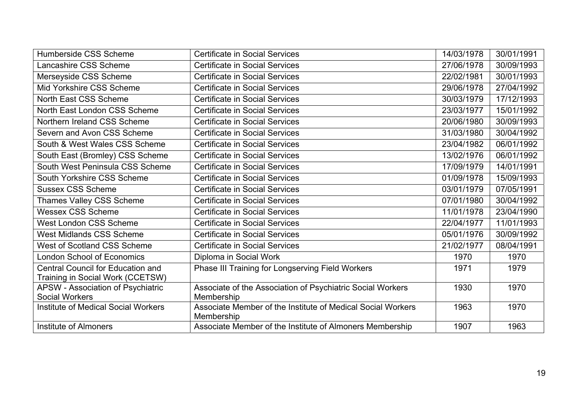| Humberside CSS Scheme                                                        | <b>Certificate in Social Services</b>                                     | 14/03/1978 | 30/01/1991 |
|------------------------------------------------------------------------------|---------------------------------------------------------------------------|------------|------------|
| Lancashire CSS Scheme                                                        | <b>Certificate in Social Services</b>                                     | 27/06/1978 | 30/09/1993 |
| Merseyside CSS Scheme                                                        | <b>Certificate in Social Services</b>                                     | 22/02/1981 | 30/01/1993 |
| Mid Yorkshire CSS Scheme                                                     | <b>Certificate in Social Services</b>                                     | 29/06/1978 | 27/04/1992 |
| North East CSS Scheme                                                        | <b>Certificate in Social Services</b>                                     | 30/03/1979 | 17/12/1993 |
| North East London CSS Scheme                                                 | <b>Certificate in Social Services</b>                                     | 23/03/1977 | 15/01/1992 |
| Northern Ireland CSS Scheme                                                  | <b>Certificate in Social Services</b>                                     | 20/06/1980 | 30/09/1993 |
| Severn and Avon CSS Scheme                                                   | <b>Certificate in Social Services</b>                                     | 31/03/1980 | 30/04/1992 |
| South & West Wales CSS Scheme                                                | <b>Certificate in Social Services</b>                                     | 23/04/1982 | 06/01/1992 |
| South East (Bromley) CSS Scheme                                              | <b>Certificate in Social Services</b>                                     | 13/02/1976 | 06/01/1992 |
| South West Peninsula CSS Scheme                                              | <b>Certificate in Social Services</b>                                     | 17/09/1979 | 14/01/1991 |
| South Yorkshire CSS Scheme                                                   | <b>Certificate in Social Services</b>                                     | 01/09/1978 | 15/09/1993 |
| <b>Sussex CSS Scheme</b>                                                     | <b>Certificate in Social Services</b>                                     | 03/01/1979 | 07/05/1991 |
| Thames Valley CSS Scheme                                                     | <b>Certificate in Social Services</b>                                     | 07/01/1980 | 30/04/1992 |
| <b>Wessex CSS Scheme</b>                                                     | <b>Certificate in Social Services</b>                                     | 11/01/1978 | 23/04/1990 |
| <b>West London CSS Scheme</b>                                                | <b>Certificate in Social Services</b>                                     | 22/04/1977 | 11/01/1993 |
| <b>West Midlands CSS Scheme</b>                                              | <b>Certificate in Social Services</b>                                     | 05/01/1976 | 30/09/1992 |
| West of Scotland CSS Scheme                                                  | <b>Certificate in Social Services</b>                                     | 21/02/1977 | 08/04/1991 |
| <b>London School of Economics</b>                                            | Diploma in Social Work                                                    | 1970       | 1970       |
| <b>Central Council for Education and</b><br>Training in Social Work (CCETSW) | Phase III Training for Longserving Field Workers                          | 1971       | 1979       |
| APSW - Association of Psychiatric<br><b>Social Workers</b>                   | Associate of the Association of Psychiatric Social Workers<br>Membership  | 1930       | 1970       |
| <b>Institute of Medical Social Workers</b>                                   | Associate Member of the Institute of Medical Social Workers<br>Membership | 1963       | 1970       |
| <b>Institute of Almoners</b>                                                 | Associate Member of the Institute of Almoners Membership                  | 1907       | 1963       |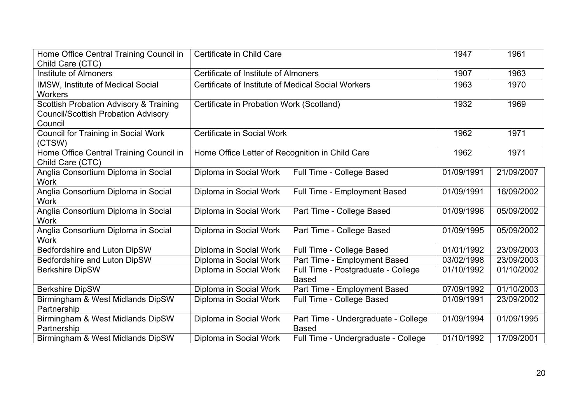| Home Office Central Training Council in<br>Child Care (CTC)                                     | Certificate in Child Care                          |                                                     | 1947       | 1961       |
|-------------------------------------------------------------------------------------------------|----------------------------------------------------|-----------------------------------------------------|------------|------------|
| Institute of Almoners                                                                           | Certificate of Institute of Almoners               |                                                     | 1907       | 1963       |
| <b>IMSW, Institute of Medical Social</b><br><b>Workers</b>                                      | Certificate of Institute of Medical Social Workers |                                                     | 1963       | 1970       |
| Scottish Probation Advisory & Training<br><b>Council/Scottish Probation Advisory</b><br>Council | Certificate in Probation Work (Scotland)           |                                                     | 1932       | 1969       |
| <b>Council for Training in Social Work</b><br>(CTSW)                                            | Certificate in Social Work                         |                                                     | 1962       | 1971       |
| Home Office Central Training Council in<br>Child Care (CTC)                                     | Home Office Letter of Recognition in Child Care    |                                                     | 1962       | 1971       |
| Anglia Consortium Diploma in Social<br><b>Work</b>                                              | Diploma in Social Work                             | Full Time - College Based                           | 01/09/1991 | 21/09/2007 |
| Anglia Consortium Diploma in Social<br><b>Work</b>                                              | Diploma in Social Work                             | Full Time - Employment Based                        | 01/09/1991 | 16/09/2002 |
| Anglia Consortium Diploma in Social<br><b>Work</b>                                              | Diploma in Social Work                             | Part Time - College Based                           | 01/09/1996 | 05/09/2002 |
| Anglia Consortium Diploma in Social<br><b>Work</b>                                              | Diploma in Social Work                             | Part Time - College Based                           | 01/09/1995 | 05/09/2002 |
| Bedfordshire and Luton DipSW                                                                    | Diploma in Social Work                             | Full Time - College Based                           | 01/01/1992 | 23/09/2003 |
| Bedfordshire and Luton DipSW                                                                    | Diploma in Social Work                             | Part Time - Employment Based                        | 03/02/1998 | 23/09/2003 |
| <b>Berkshire DipSW</b>                                                                          | Diploma in Social Work                             | Full Time - Postgraduate - College<br><b>Based</b>  | 01/10/1992 | 01/10/2002 |
| <b>Berkshire DipSW</b>                                                                          | Diploma in Social Work                             | Part Time - Employment Based                        | 07/09/1992 | 01/10/2003 |
| Birmingham & West Midlands DipSW<br>Partnership                                                 | Diploma in Social Work                             | Full Time - College Based                           | 01/09/1991 | 23/09/2002 |
| Birmingham & West Midlands DipSW<br>Partnership                                                 | Diploma in Social Work                             | Part Time - Undergraduate - College<br><b>Based</b> | 01/09/1994 | 01/09/1995 |
| Birmingham & West Midlands DipSW                                                                | Diploma in Social Work                             | Full Time - Undergraduate - College                 | 01/10/1992 | 17/09/2001 |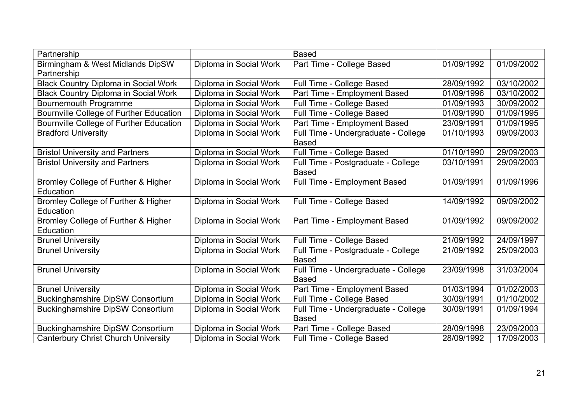| Partnership                                 |                        | <b>Based</b>                        |            |            |
|---------------------------------------------|------------------------|-------------------------------------|------------|------------|
| Birmingham & West Midlands DipSW            | Diploma in Social Work | Part Time - College Based           | 01/09/1992 | 01/09/2002 |
| Partnership                                 |                        |                                     |            |            |
| <b>Black Country Diploma in Social Work</b> | Diploma in Social Work | Full Time - College Based           | 28/09/1992 | 03/10/2002 |
| <b>Black Country Diploma in Social Work</b> | Diploma in Social Work | Part Time - Employment Based        | 01/09/1996 | 03/10/2002 |
| Bournemouth Programme                       | Diploma in Social Work | Full Time - College Based           | 01/09/1993 | 30/09/2002 |
| Bournville College of Further Education     | Diploma in Social Work | Full Time - College Based           | 01/09/1990 | 01/09/1995 |
| Bournville College of Further Education     | Diploma in Social Work | Part Time - Employment Based        | 23/09/1991 | 01/09/1995 |
| <b>Bradford University</b>                  | Diploma in Social Work | Full Time - Undergraduate - College | 01/10/1993 | 09/09/2003 |
|                                             |                        | <b>Based</b>                        |            |            |
| <b>Bristol University and Partners</b>      | Diploma in Social Work | Full Time - College Based           | 01/10/1990 | 29/09/2003 |
| <b>Bristol University and Partners</b>      | Diploma in Social Work | Full Time - Postgraduate - College  | 03/10/1991 | 29/09/2003 |
|                                             |                        | <b>Based</b>                        |            |            |
| Bromley College of Further & Higher         | Diploma in Social Work | Full Time - Employment Based        | 01/09/1991 | 01/09/1996 |
| Education                                   |                        |                                     |            |            |
| Bromley College of Further & Higher         | Diploma in Social Work | Full Time - College Based           | 14/09/1992 | 09/09/2002 |
| Education                                   |                        |                                     |            |            |
| Bromley College of Further & Higher         | Diploma in Social Work | Part Time - Employment Based        | 01/09/1992 | 09/09/2002 |
| Education                                   |                        |                                     |            |            |
| <b>Brunel University</b>                    | Diploma in Social Work | Full Time - College Based           | 21/09/1992 | 24/09/1997 |
| <b>Brunel University</b>                    | Diploma in Social Work | Full Time - Postgraduate - College  | 21/09/1992 | 25/09/2003 |
|                                             |                        | <b>Based</b>                        |            |            |
| <b>Brunel University</b>                    | Diploma in Social Work | Full Time - Undergraduate - College | 23/09/1998 | 31/03/2004 |
|                                             |                        | <b>Based</b>                        |            |            |
| <b>Brunel University</b>                    | Diploma in Social Work | Part Time - Employment Based        | 01/03/1994 | 01/02/2003 |
| <b>Buckinghamshire DipSW Consortium</b>     | Diploma in Social Work | Full Time - College Based           | 30/09/1991 | 01/10/2002 |
| <b>Buckinghamshire DipSW Consortium</b>     | Diploma in Social Work | Full Time - Undergraduate - College | 30/09/1991 | 01/09/1994 |
|                                             |                        | <b>Based</b>                        |            |            |
| <b>Buckinghamshire DipSW Consortium</b>     | Diploma in Social Work | Part Time - College Based           | 28/09/1998 | 23/09/2003 |
| <b>Canterbury Christ Church University</b>  | Diploma in Social Work | Full Time - College Based           | 28/09/1992 | 17/09/2003 |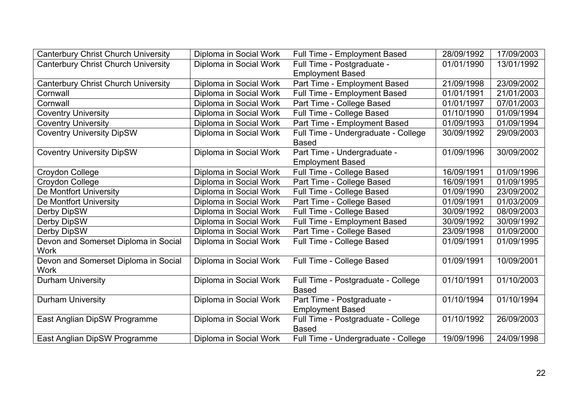| <b>Canterbury Christ Church University</b> | Diploma in Social Work | Full Time - Employment Based        | 28/09/1992 | 17/09/2003 |
|--------------------------------------------|------------------------|-------------------------------------|------------|------------|
| <b>Canterbury Christ Church University</b> | Diploma in Social Work | Full Time - Postgraduate -          | 01/01/1990 | 13/01/1992 |
|                                            |                        | <b>Employment Based</b>             |            |            |
| <b>Canterbury Christ Church University</b> | Diploma in Social Work | Part Time - Employment Based        | 21/09/1998 | 23/09/2002 |
| Cornwall                                   | Diploma in Social Work | Full Time - Employment Based        | 01/01/1991 | 21/01/2003 |
| Cornwall                                   | Diploma in Social Work | Part Time - College Based           | 01/01/1997 | 07/01/2003 |
| <b>Coventry University</b>                 | Diploma in Social Work | Full Time - College Based           | 01/10/1990 | 01/09/1994 |
| <b>Coventry University</b>                 | Diploma in Social Work | Part Time - Employment Based        | 01/09/1993 | 01/09/1994 |
| <b>Coventry University DipSW</b>           | Diploma in Social Work | Full Time - Undergraduate - College | 30/09/1992 | 29/09/2003 |
|                                            |                        | <b>Based</b>                        |            |            |
| <b>Coventry University DipSW</b>           | Diploma in Social Work | Part Time - Undergraduate -         | 01/09/1996 | 30/09/2002 |
|                                            |                        | <b>Employment Based</b>             |            |            |
| Croydon College                            | Diploma in Social Work | Full Time - College Based           | 16/09/1991 | 01/09/1996 |
| Croydon College                            | Diploma in Social Work | Part Time - College Based           | 16/09/1991 | 01/09/1995 |
| De Montfort University                     | Diploma in Social Work | Full Time - College Based           | 01/09/1990 | 23/09/2002 |
| De Montfort University                     | Diploma in Social Work | Part Time - College Based           | 01/09/1991 | 01/03/2009 |
| Derby DipSW                                | Diploma in Social Work | Full Time - College Based           | 30/09/1992 | 08/09/2003 |
| Derby DipSW                                | Diploma in Social Work | Full Time - Employment Based        | 30/09/1992 | 30/09/1992 |
| Derby DipSW                                | Diploma in Social Work | Part Time - College Based           | 23/09/1998 | 01/09/2000 |
| Devon and Somerset Diploma in Social       | Diploma in Social Work | Full Time - College Based           | 01/09/1991 | 01/09/1995 |
| <b>Work</b>                                |                        |                                     |            |            |
| Devon and Somerset Diploma in Social       | Diploma in Social Work | Full Time - College Based           | 01/09/1991 | 10/09/2001 |
| <b>Work</b>                                |                        |                                     |            |            |
| <b>Durham University</b>                   | Diploma in Social Work | Full Time - Postgraduate - College  | 01/10/1991 | 01/10/2003 |
|                                            |                        | <b>Based</b>                        |            |            |
| <b>Durham University</b>                   | Diploma in Social Work | Part Time - Postgraduate -          | 01/10/1994 | 01/10/1994 |
|                                            |                        | <b>Employment Based</b>             |            |            |
| East Anglian DipSW Programme               | Diploma in Social Work | Full Time - Postgraduate - College  | 01/10/1992 | 26/09/2003 |
|                                            |                        | <b>Based</b>                        |            |            |
| East Anglian DipSW Programme               | Diploma in Social Work | Full Time - Undergraduate - College | 19/09/1996 | 24/09/1998 |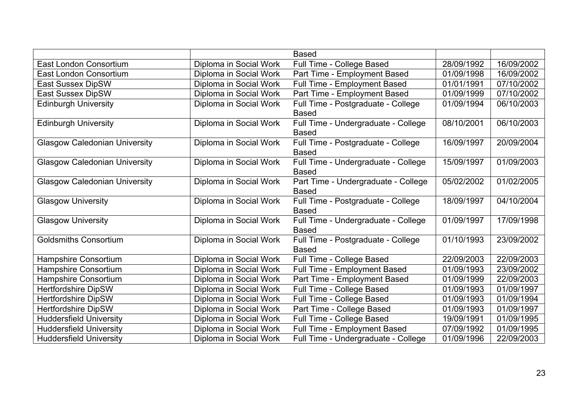|                                      |                        | <b>Based</b>                                        |            |            |
|--------------------------------------|------------------------|-----------------------------------------------------|------------|------------|
| East London Consortium               | Diploma in Social Work | Full Time - College Based                           | 28/09/1992 | 16/09/2002 |
| East London Consortium               | Diploma in Social Work | Part Time - Employment Based                        | 01/09/1998 | 16/09/2002 |
| <b>East Sussex DipSW</b>             | Diploma in Social Work | <b>Full Time - Employment Based</b>                 | 01/01/1991 | 07/10/2002 |
| <b>East Sussex DipSW</b>             | Diploma in Social Work | Part Time - Employment Based                        | 01/09/1999 | 07/10/2002 |
| <b>Edinburgh University</b>          | Diploma in Social Work | Full Time - Postgraduate - College<br><b>Based</b>  | 01/09/1994 | 06/10/2003 |
| <b>Edinburgh University</b>          | Diploma in Social Work | Full Time - Undergraduate - College<br><b>Based</b> | 08/10/2001 | 06/10/2003 |
| <b>Glasgow Caledonian University</b> | Diploma in Social Work | Full Time - Postgraduate - College<br><b>Based</b>  | 16/09/1997 | 20/09/2004 |
| <b>Glasgow Caledonian University</b> | Diploma in Social Work | Full Time - Undergraduate - College<br><b>Based</b> | 15/09/1997 | 01/09/2003 |
| <b>Glasgow Caledonian University</b> | Diploma in Social Work | Part Time - Undergraduate - College<br><b>Based</b> | 05/02/2002 | 01/02/2005 |
| <b>Glasgow University</b>            | Diploma in Social Work | Full Time - Postgraduate - College<br><b>Based</b>  | 18/09/1997 | 04/10/2004 |
| <b>Glasgow University</b>            | Diploma in Social Work | Full Time - Undergraduate - College<br><b>Based</b> | 01/09/1997 | 17/09/1998 |
| <b>Goldsmiths Consortium</b>         | Diploma in Social Work | Full Time - Postgraduate - College<br><b>Based</b>  | 01/10/1993 | 23/09/2002 |
| Hampshire Consortium                 | Diploma in Social Work | Full Time - College Based                           | 22/09/2003 | 22/09/2003 |
| <b>Hampshire Consortium</b>          | Diploma in Social Work | Full Time - Employment Based                        | 01/09/1993 | 23/09/2002 |
| Hampshire Consortium                 | Diploma in Social Work | Part Time - Employment Based                        | 01/09/1999 | 22/09/2003 |
| <b>Hertfordshire DipSW</b>           | Diploma in Social Work | Full Time - College Based                           | 01/09/1993 | 01/09/1997 |
| <b>Hertfordshire DipSW</b>           | Diploma in Social Work | Full Time - College Based                           | 01/09/1993 | 01/09/1994 |
| <b>Hertfordshire DipSW</b>           | Diploma in Social Work | Part Time - College Based                           | 01/09/1993 | 01/09/1997 |
| <b>Huddersfield University</b>       | Diploma in Social Work | Full Time - College Based                           | 19/09/1991 | 01/09/1995 |
| <b>Huddersfield University</b>       | Diploma in Social Work | Full Time - Employment Based                        | 07/09/1992 | 01/09/1995 |
| <b>Huddersfield University</b>       | Diploma in Social Work | Full Time - Undergraduate - College                 | 01/09/1996 | 22/09/2003 |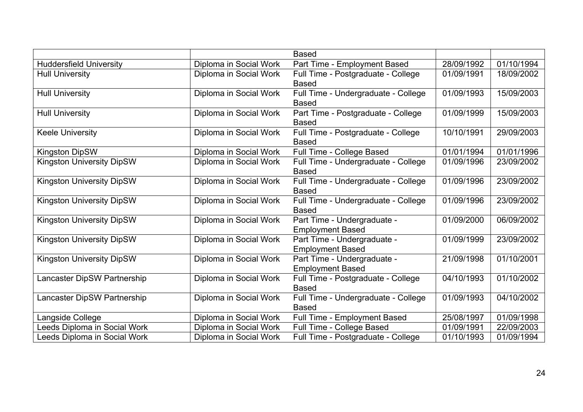|                                  |                        | <b>Based</b>                        |            |            |
|----------------------------------|------------------------|-------------------------------------|------------|------------|
| <b>Huddersfield University</b>   | Diploma in Social Work | Part Time - Employment Based        | 28/09/1992 | 01/10/1994 |
| <b>Hull University</b>           | Diploma in Social Work | Full Time - Postgraduate - College  | 01/09/1991 | 18/09/2002 |
|                                  |                        | <b>Based</b>                        |            |            |
| <b>Hull University</b>           | Diploma in Social Work | Full Time - Undergraduate - College | 01/09/1993 | 15/09/2003 |
|                                  |                        | <b>Based</b>                        |            |            |
| <b>Hull University</b>           | Diploma in Social Work | Part Time - Postgraduate - College  | 01/09/1999 | 15/09/2003 |
|                                  |                        | <b>Based</b>                        |            |            |
| <b>Keele University</b>          | Diploma in Social Work | Full Time - Postgraduate - College  | 10/10/1991 | 29/09/2003 |
|                                  |                        | <b>Based</b>                        |            |            |
| <b>Kingston DipSW</b>            | Diploma in Social Work | Full Time - College Based           | 01/01/1994 | 01/01/1996 |
| <b>Kingston University DipSW</b> | Diploma in Social Work | Full Time - Undergraduate - College | 01/09/1996 | 23/09/2002 |
|                                  |                        | <b>Based</b>                        |            |            |
| <b>Kingston University DipSW</b> | Diploma in Social Work | Full Time - Undergraduate - College | 01/09/1996 | 23/09/2002 |
|                                  |                        | <b>Based</b>                        |            |            |
| <b>Kingston University DipSW</b> | Diploma in Social Work | Full Time - Undergraduate - College | 01/09/1996 | 23/09/2002 |
|                                  |                        | <b>Based</b>                        |            |            |
| <b>Kingston University DipSW</b> | Diploma in Social Work | Part Time - Undergraduate -         | 01/09/2000 | 06/09/2002 |
|                                  |                        | <b>Employment Based</b>             |            |            |
| <b>Kingston University DipSW</b> | Diploma in Social Work | Part Time - Undergraduate -         | 01/09/1999 | 23/09/2002 |
|                                  |                        | <b>Employment Based</b>             |            |            |
| <b>Kingston University DipSW</b> | Diploma in Social Work | Part Time - Undergraduate -         | 21/09/1998 | 01/10/2001 |
|                                  |                        | <b>Employment Based</b>             |            |            |
| Lancaster DipSW Partnership      | Diploma in Social Work | Full Time - Postgraduate - College  | 04/10/1993 | 01/10/2002 |
|                                  |                        | <b>Based</b>                        |            |            |
| Lancaster DipSW Partnership      | Diploma in Social Work | Full Time - Undergraduate - College | 01/09/1993 | 04/10/2002 |
|                                  |                        | <b>Based</b>                        |            |            |
| Langside College                 | Diploma in Social Work | Full Time - Employment Based        | 25/08/1997 | 01/09/1998 |
| Leeds Diploma in Social Work     | Diploma in Social Work | Full Time - College Based           | 01/09/1991 | 22/09/2003 |
| Leeds Diploma in Social Work     | Diploma in Social Work | Full Time - Postgraduate - College  | 01/10/1993 | 01/09/1994 |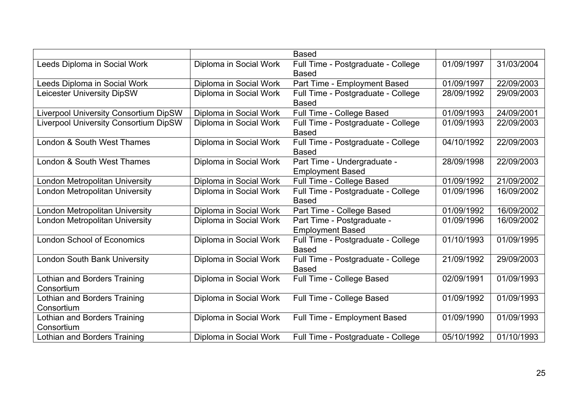|                                              |                        | <b>Based</b>                       |            |            |
|----------------------------------------------|------------------------|------------------------------------|------------|------------|
| Leeds Diploma in Social Work                 | Diploma in Social Work | Full Time - Postgraduate - College | 01/09/1997 | 31/03/2004 |
|                                              |                        | <b>Based</b>                       |            |            |
| Leeds Diploma in Social Work                 | Diploma in Social Work | Part Time - Employment Based       | 01/09/1997 | 22/09/2003 |
| <b>Leicester University DipSW</b>            | Diploma in Social Work | Full Time - Postgraduate - College | 28/09/1992 | 29/09/2003 |
|                                              |                        | <b>Based</b>                       |            |            |
| <b>Liverpool University Consortium DipSW</b> | Diploma in Social Work | Full Time - College Based          | 01/09/1993 | 24/09/2001 |
| <b>Liverpool University Consortium DipSW</b> | Diploma in Social Work | Full Time - Postgraduate - College | 01/09/1993 | 22/09/2003 |
|                                              |                        | <b>Based</b>                       |            |            |
| London & South West Thames                   | Diploma in Social Work | Full Time - Postgraduate - College | 04/10/1992 | 22/09/2003 |
|                                              |                        | <b>Based</b>                       |            |            |
| London & South West Thames                   | Diploma in Social Work | Part Time - Undergraduate -        | 28/09/1998 | 22/09/2003 |
|                                              |                        | <b>Employment Based</b>            |            |            |
| London Metropolitan University               | Diploma in Social Work | Full Time - College Based          | 01/09/1992 | 21/09/2002 |
| London Metropolitan University               | Diploma in Social Work | Full Time - Postgraduate - College | 01/09/1996 | 16/09/2002 |
|                                              |                        | <b>Based</b>                       |            |            |
| London Metropolitan University               | Diploma in Social Work | Part Time - College Based          | 01/09/1992 | 16/09/2002 |
| London Metropolitan University               | Diploma in Social Work | Part Time - Postgraduate -         | 01/09/1996 | 16/09/2002 |
|                                              |                        | <b>Employment Based</b>            |            |            |
| <b>London School of Economics</b>            | Diploma in Social Work | Full Time - Postgraduate - College | 01/10/1993 | 01/09/1995 |
|                                              |                        | <b>Based</b>                       |            |            |
| <b>London South Bank University</b>          | Diploma in Social Work | Full Time - Postgraduate - College | 21/09/1992 | 29/09/2003 |
|                                              |                        | <b>Based</b>                       |            |            |
| <b>Lothian and Borders Training</b>          | Diploma in Social Work | Full Time - College Based          | 02/09/1991 | 01/09/1993 |
| Consortium                                   |                        |                                    |            |            |
| <b>Lothian and Borders Training</b>          | Diploma in Social Work | Full Time - College Based          | 01/09/1992 | 01/09/1993 |
| Consortium                                   |                        |                                    |            |            |
| <b>Lothian and Borders Training</b>          | Diploma in Social Work | Full Time - Employment Based       | 01/09/1990 | 01/09/1993 |
| Consortium                                   |                        |                                    |            |            |
| <b>Lothian and Borders Training</b>          | Diploma in Social Work | Full Time - Postgraduate - College | 05/10/1992 | 01/10/1993 |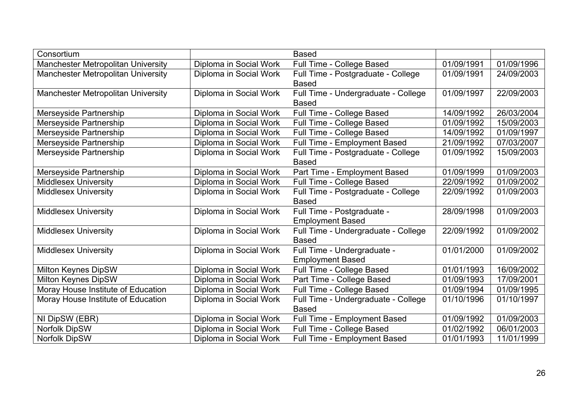| Consortium                                |                        | <b>Based</b>                        |            |            |
|-------------------------------------------|------------------------|-------------------------------------|------------|------------|
| <b>Manchester Metropolitan University</b> | Diploma in Social Work | Full Time - College Based           | 01/09/1991 | 01/09/1996 |
| Manchester Metropolitan University        | Diploma in Social Work | Full Time - Postgraduate - College  | 01/09/1991 | 24/09/2003 |
|                                           |                        | <b>Based</b>                        |            |            |
| <b>Manchester Metropolitan University</b> | Diploma in Social Work | Full Time - Undergraduate - College | 01/09/1997 | 22/09/2003 |
|                                           |                        | <b>Based</b>                        |            |            |
| Merseyside Partnership                    | Diploma in Social Work | Full Time - College Based           | 14/09/1992 | 26/03/2004 |
| Merseyside Partnership                    | Diploma in Social Work | Full Time - College Based           | 01/09/1992 | 15/09/2003 |
| Merseyside Partnership                    | Diploma in Social Work | Full Time - College Based           | 14/09/1992 | 01/09/1997 |
| Merseyside Partnership                    | Diploma in Social Work | Full Time - Employment Based        | 21/09/1992 | 07/03/2007 |
| Merseyside Partnership                    | Diploma in Social Work | Full Time - Postgraduate - College  | 01/09/1992 | 15/09/2003 |
|                                           |                        | <b>Based</b>                        |            |            |
| Merseyside Partnership                    | Diploma in Social Work | Part Time - Employment Based        | 01/09/1999 | 01/09/2003 |
| <b>Middlesex University</b>               | Diploma in Social Work | Full Time - College Based           | 22/09/1992 | 01/09/2002 |
| <b>Middlesex University</b>               | Diploma in Social Work | Full Time - Postgraduate - College  | 22/09/1992 | 01/09/2003 |
|                                           |                        | <b>Based</b>                        |            |            |
| <b>Middlesex University</b>               | Diploma in Social Work | Full Time - Postgraduate -          | 28/09/1998 | 01/09/2003 |
|                                           |                        | <b>Employment Based</b>             |            |            |
| <b>Middlesex University</b>               | Diploma in Social Work | Full Time - Undergraduate - College | 22/09/1992 | 01/09/2002 |
|                                           |                        | <b>Based</b>                        |            |            |
| <b>Middlesex University</b>               | Diploma in Social Work | Full Time - Undergraduate -         | 01/01/2000 | 01/09/2002 |
|                                           |                        | <b>Employment Based</b>             |            |            |
| Milton Keynes DipSW                       | Diploma in Social Work | Full Time - College Based           | 01/01/1993 | 16/09/2002 |
| Milton Keynes DipSW                       | Diploma in Social Work | Part Time - College Based           | 01/09/1993 | 17/09/2001 |
| Moray House Institute of Education        | Diploma in Social Work | Full Time - College Based           | 01/09/1994 | 01/09/1995 |
| Moray House Institute of Education        | Diploma in Social Work | Full Time - Undergraduate - College | 01/10/1996 | 01/10/1997 |
|                                           |                        | <b>Based</b>                        |            |            |
| NI DipSW (EBR)                            | Diploma in Social Work | Full Time - Employment Based        | 01/09/1992 | 01/09/2003 |
| <b>Norfolk DipSW</b>                      | Diploma in Social Work | Full Time - College Based           | 01/02/1992 | 06/01/2003 |
| Norfolk DipSW                             | Diploma in Social Work | Full Time - Employment Based        | 01/01/1993 | 11/01/1999 |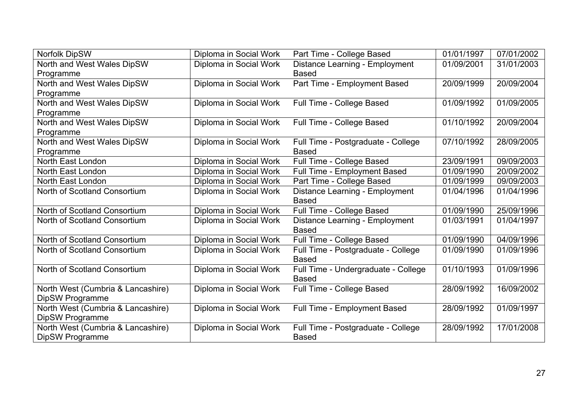| Norfolk DipSW                     | Diploma in Social Work | Part Time - College Based           | 01/01/1997 | 07/01/2002 |
|-----------------------------------|------------------------|-------------------------------------|------------|------------|
| North and West Wales DipSW        | Diploma in Social Work | Distance Learning - Employment      | 01/09/2001 | 31/01/2003 |
| Programme                         |                        | <b>Based</b>                        |            |            |
| North and West Wales DipSW        | Diploma in Social Work | Part Time - Employment Based        | 20/09/1999 | 20/09/2004 |
| Programme                         |                        |                                     |            |            |
| North and West Wales DipSW        | Diploma in Social Work | Full Time - College Based           | 01/09/1992 | 01/09/2005 |
| Programme                         |                        |                                     |            |            |
| North and West Wales DipSW        | Diploma in Social Work | Full Time - College Based           | 01/10/1992 | 20/09/2004 |
| Programme                         |                        |                                     |            |            |
| North and West Wales DipSW        | Diploma in Social Work | Full Time - Postgraduate - College  | 07/10/1992 | 28/09/2005 |
| Programme                         |                        | <b>Based</b>                        |            |            |
| North East London                 | Diploma in Social Work | Full Time - College Based           | 23/09/1991 | 09/09/2003 |
| North East London                 | Diploma in Social Work | Full Time - Employment Based        | 01/09/1990 | 20/09/2002 |
| North East London                 | Diploma in Social Work | Part Time - College Based           | 01/09/1999 | 09/09/2003 |
| North of Scotland Consortium      | Diploma in Social Work | Distance Learning - Employment      | 01/04/1996 | 01/04/1996 |
|                                   |                        | <b>Based</b>                        |            |            |
| North of Scotland Consortium      | Diploma in Social Work | Full Time - College Based           | 01/09/1990 | 25/09/1996 |
| North of Scotland Consortium      | Diploma in Social Work | Distance Learning - Employment      | 01/03/1991 | 01/04/1997 |
|                                   |                        | <b>Based</b>                        |            |            |
| North of Scotland Consortium      | Diploma in Social Work | Full Time - College Based           | 01/09/1990 | 04/09/1996 |
| North of Scotland Consortium      | Diploma in Social Work | Full Time - Postgraduate - College  | 01/09/1990 | 01/09/1996 |
|                                   |                        | <b>Based</b>                        |            |            |
| North of Scotland Consortium      | Diploma in Social Work | Full Time - Undergraduate - College | 01/10/1993 | 01/09/1996 |
|                                   |                        | <b>Based</b>                        |            |            |
| North West (Cumbria & Lancashire) | Diploma in Social Work | Full Time - College Based           | 28/09/1992 | 16/09/2002 |
| DipSW Programme                   |                        |                                     |            |            |
| North West (Cumbria & Lancashire) | Diploma in Social Work | Full Time - Employment Based        | 28/09/1992 | 01/09/1997 |
| DipSW Programme                   |                        |                                     |            |            |
| North West (Cumbria & Lancashire) | Diploma in Social Work | Full Time - Postgraduate - College  | 28/09/1992 | 17/01/2008 |
| DipSW Programme                   |                        | <b>Based</b>                        |            |            |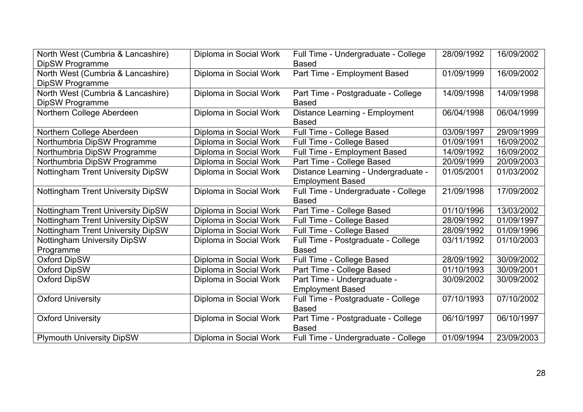| North West (Cumbria & Lancashire)        | Diploma in Social Work | Full Time - Undergraduate - College | 28/09/1992 | 16/09/2002 |
|------------------------------------------|------------------------|-------------------------------------|------------|------------|
| DipSW Programme                          |                        | <b>Based</b>                        |            |            |
| North West (Cumbria & Lancashire)        | Diploma in Social Work | Part Time - Employment Based        | 01/09/1999 | 16/09/2002 |
| DipSW Programme                          |                        |                                     |            |            |
| North West (Cumbria & Lancashire)        | Diploma in Social Work | Part Time - Postgraduate - College  | 14/09/1998 | 14/09/1998 |
| DipSW Programme                          |                        | <b>Based</b>                        |            |            |
| Northern College Aberdeen                | Diploma in Social Work | Distance Learning - Employment      | 06/04/1998 | 06/04/1999 |
|                                          |                        | <b>Based</b>                        |            |            |
| Northern College Aberdeen                | Diploma in Social Work | Full Time - College Based           | 03/09/1997 | 29/09/1999 |
| Northumbria DipSW Programme              | Diploma in Social Work | Full Time - College Based           | 01/09/1991 | 16/09/2002 |
| Northumbria DipSW Programme              | Diploma in Social Work | Full Time - Employment Based        | 14/09/1992 | 16/09/2002 |
| Northumbria DipSW Programme              | Diploma in Social Work | Part Time - College Based           | 20/09/1999 | 20/09/2003 |
| Nottingham Trent University DipSW        | Diploma in Social Work | Distance Learning - Undergraduate - | 01/05/2001 | 01/03/2002 |
|                                          |                        | <b>Employment Based</b>             |            |            |
| Nottingham Trent University DipSW        | Diploma in Social Work | Full Time - Undergraduate - College | 21/09/1998 | 17/09/2002 |
|                                          |                        | <b>Based</b>                        |            |            |
| Nottingham Trent University DipSW        | Diploma in Social Work | Part Time - College Based           | 01/10/1996 | 13/03/2002 |
| Nottingham Trent University DipSW        | Diploma in Social Work | Full Time - College Based           | 28/09/1992 | 01/09/1997 |
| <b>Nottingham Trent University DipSW</b> | Diploma in Social Work | Full Time - College Based           | 28/09/1992 | 01/09/1996 |
| <b>Nottingham University DipSW</b>       | Diploma in Social Work | Full Time - Postgraduate - College  | 03/11/1992 | 01/10/2003 |
| Programme                                |                        | <b>Based</b>                        |            |            |
| <b>Oxford DipSW</b>                      | Diploma in Social Work | Full Time - College Based           | 28/09/1992 | 30/09/2002 |
| Oxford DipSW                             | Diploma in Social Work | Part Time - College Based           | 01/10/1993 | 30/09/2001 |
| <b>Oxford DipSW</b>                      | Diploma in Social Work | Part Time - Undergraduate -         | 30/09/2002 | 30/09/2002 |
|                                          |                        | <b>Employment Based</b>             |            |            |
| <b>Oxford University</b>                 | Diploma in Social Work | Full Time - Postgraduate - College  | 07/10/1993 | 07/10/2002 |
|                                          |                        | <b>Based</b>                        |            |            |
| <b>Oxford University</b>                 | Diploma in Social Work | Part Time - Postgraduate - College  | 06/10/1997 | 06/10/1997 |
|                                          |                        | <b>Based</b>                        |            |            |
| <b>Plymouth University DipSW</b>         | Diploma in Social Work | Full Time - Undergraduate - College | 01/09/1994 | 23/09/2003 |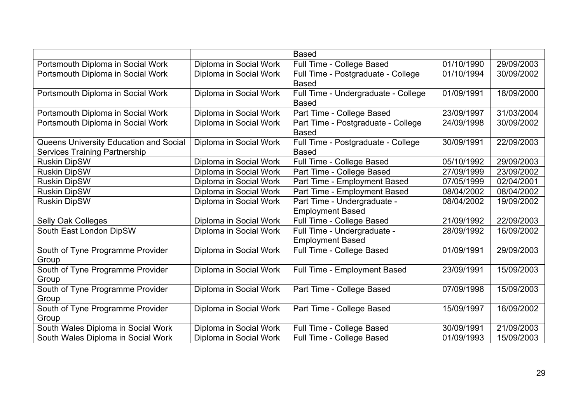|                                        |                        | <b>Based</b>                        |            |            |
|----------------------------------------|------------------------|-------------------------------------|------------|------------|
| Portsmouth Diploma in Social Work      | Diploma in Social Work | Full Time - College Based           | 01/10/1990 | 29/09/2003 |
| Portsmouth Diploma in Social Work      | Diploma in Social Work | Full Time - Postgraduate - College  | 01/10/1994 | 30/09/2002 |
|                                        |                        | <b>Based</b>                        |            |            |
| Portsmouth Diploma in Social Work      | Diploma in Social Work | Full Time - Undergraduate - College | 01/09/1991 | 18/09/2000 |
|                                        |                        | <b>Based</b>                        |            |            |
| Portsmouth Diploma in Social Work      | Diploma in Social Work | Part Time - College Based           | 23/09/1997 | 31/03/2004 |
| Portsmouth Diploma in Social Work      | Diploma in Social Work | Part Time - Postgraduate - College  | 24/09/1998 | 30/09/2002 |
|                                        |                        | <b>Based</b>                        |            |            |
| Queens University Education and Social | Diploma in Social Work | Full Time - Postgraduate - College  | 30/09/1991 | 22/09/2003 |
| <b>Services Training Partnership</b>   |                        | <b>Based</b>                        |            |            |
| <b>Ruskin DipSW</b>                    | Diploma in Social Work | Full Time - College Based           | 05/10/1992 | 29/09/2003 |
| <b>Ruskin DipSW</b>                    | Diploma in Social Work | Part Time - College Based           | 27/09/1999 | 23/09/2002 |
| <b>Ruskin DipSW</b>                    | Diploma in Social Work | Part Time - Employment Based        | 07/05/1999 | 02/04/2001 |
| <b>Ruskin DipSW</b>                    | Diploma in Social Work | Part Time - Employment Based        | 08/04/2002 | 08/04/2002 |
| <b>Ruskin DipSW</b>                    | Diploma in Social Work | Part Time - Undergraduate -         | 08/04/2002 | 19/09/2002 |
|                                        |                        | <b>Employment Based</b>             |            |            |
| Selly Oak Colleges                     | Diploma in Social Work | Full Time - College Based           | 21/09/1992 | 22/09/2003 |
| South East London DipSW                | Diploma in Social Work | Full Time - Undergraduate -         | 28/09/1992 | 16/09/2002 |
|                                        |                        | <b>Employment Based</b>             |            |            |
| South of Tyne Programme Provider       | Diploma in Social Work | Full Time - College Based           | 01/09/1991 | 29/09/2003 |
| Group                                  |                        |                                     |            |            |
| South of Tyne Programme Provider       | Diploma in Social Work | Full Time - Employment Based        | 23/09/1991 | 15/09/2003 |
| Group                                  |                        |                                     |            |            |
| South of Tyne Programme Provider       | Diploma in Social Work | Part Time - College Based           | 07/09/1998 | 15/09/2003 |
| Group                                  |                        |                                     |            |            |
| South of Tyne Programme Provider       | Diploma in Social Work | Part Time - College Based           | 15/09/1997 | 16/09/2002 |
| Group                                  |                        |                                     |            |            |
| South Wales Diploma in Social Work     | Diploma in Social Work | Full Time - College Based           | 30/09/1991 | 21/09/2003 |
| South Wales Diploma in Social Work     | Diploma in Social Work | Full Time - College Based           | 01/09/1993 | 15/09/2003 |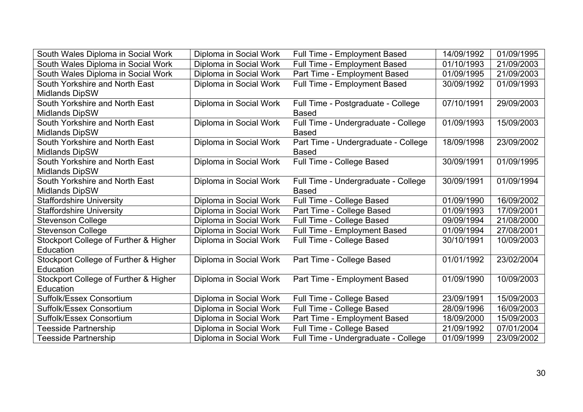| South Wales Diploma in Social Work    | Diploma in Social Work | Full Time - Employment Based        | 14/09/1992 | 01/09/1995 |
|---------------------------------------|------------------------|-------------------------------------|------------|------------|
| South Wales Diploma in Social Work    | Diploma in Social Work | <b>Full Time - Employment Based</b> | 01/10/1993 | 21/09/2003 |
| South Wales Diploma in Social Work    | Diploma in Social Work | Part Time - Employment Based        | 01/09/1995 | 21/09/2003 |
| South Yorkshire and North East        | Diploma in Social Work | Full Time - Employment Based        | 30/09/1992 | 01/09/1993 |
| <b>Midlands DipSW</b>                 |                        |                                     |            |            |
| South Yorkshire and North East        | Diploma in Social Work | Full Time - Postgraduate - College  | 07/10/1991 | 29/09/2003 |
| <b>Midlands DipSW</b>                 |                        | <b>Based</b>                        |            |            |
| South Yorkshire and North East        | Diploma in Social Work | Full Time - Undergraduate - College | 01/09/1993 | 15/09/2003 |
| <b>Midlands DipSW</b>                 |                        | <b>Based</b>                        |            |            |
| South Yorkshire and North East        | Diploma in Social Work | Part Time - Undergraduate - College | 18/09/1998 | 23/09/2002 |
| <b>Midlands DipSW</b>                 |                        | <b>Based</b>                        |            |            |
| South Yorkshire and North East        | Diploma in Social Work | Full Time - College Based           | 30/09/1991 | 01/09/1995 |
| <b>Midlands DipSW</b>                 |                        |                                     |            |            |
| South Yorkshire and North East        | Diploma in Social Work | Full Time - Undergraduate - College | 30/09/1991 | 01/09/1994 |
| <b>Midlands DipSW</b>                 |                        | <b>Based</b>                        |            |            |
| <b>Staffordshire University</b>       | Diploma in Social Work | Full Time - College Based           | 01/09/1990 | 16/09/2002 |
| <b>Staffordshire University</b>       | Diploma in Social Work | Part Time - College Based           | 01/09/1993 | 17/09/2001 |
| <b>Stevenson College</b>              | Diploma in Social Work | Full Time - College Based           | 09/09/1994 | 21/08/2000 |
| <b>Stevenson College</b>              | Diploma in Social Work | Full Time - Employment Based        | 01/09/1994 | 27/08/2001 |
| Stockport College of Further & Higher | Diploma in Social Work | Full Time - College Based           | 30/10/1991 | 10/09/2003 |
| Education                             |                        |                                     |            |            |
| Stockport College of Further & Higher | Diploma in Social Work | Part Time - College Based           | 01/01/1992 | 23/02/2004 |
| Education                             |                        |                                     |            |            |
| Stockport College of Further & Higher | Diploma in Social Work | Part Time - Employment Based        | 01/09/1990 | 10/09/2003 |
| Education                             |                        |                                     |            |            |
| Suffolk/Essex Consortium              | Diploma in Social Work | Full Time - College Based           | 23/09/1991 | 15/09/2003 |
| Suffolk/Essex Consortium              | Diploma in Social Work | Full Time - College Based           | 28/09/1996 | 16/09/2003 |
| Suffolk/Essex Consortium              | Diploma in Social Work | Part Time - Employment Based        | 18/09/2000 | 15/09/2003 |
| <b>Teesside Partnership</b>           | Diploma in Social Work | Full Time - College Based           | 21/09/1992 | 07/01/2004 |
| <b>Teesside Partnership</b>           | Diploma in Social Work | Full Time - Undergraduate - College | 01/09/1999 | 23/09/2002 |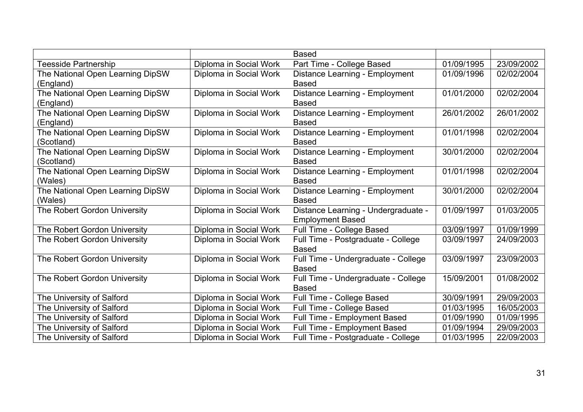|                                  |                        | <b>Based</b>                        |            |            |
|----------------------------------|------------------------|-------------------------------------|------------|------------|
| Teesside Partnership             | Diploma in Social Work | Part Time - College Based           | 01/09/1995 | 23/09/2002 |
| The National Open Learning DipSW | Diploma in Social Work | Distance Learning - Employment      | 01/09/1996 | 02/02/2004 |
| (England)                        |                        | <b>Based</b>                        |            |            |
| The National Open Learning DipSW | Diploma in Social Work | Distance Learning - Employment      | 01/01/2000 | 02/02/2004 |
| (England)                        |                        | <b>Based</b>                        |            |            |
| The National Open Learning DipSW | Diploma in Social Work | Distance Learning - Employment      | 26/01/2002 | 26/01/2002 |
| (England)                        |                        | <b>Based</b>                        |            |            |
| The National Open Learning DipSW | Diploma in Social Work | Distance Learning - Employment      | 01/01/1998 | 02/02/2004 |
| (Scotland)                       |                        | <b>Based</b>                        |            |            |
| The National Open Learning DipSW | Diploma in Social Work | Distance Learning - Employment      | 30/01/2000 | 02/02/2004 |
| (Scotland)                       |                        | <b>Based</b>                        |            |            |
| The National Open Learning DipSW | Diploma in Social Work | Distance Learning - Employment      | 01/01/1998 | 02/02/2004 |
| (Wales)                          |                        | <b>Based</b>                        |            |            |
| The National Open Learning DipSW | Diploma in Social Work | Distance Learning - Employment      | 30/01/2000 | 02/02/2004 |
| (Wales)                          |                        | <b>Based</b>                        |            |            |
| The Robert Gordon University     | Diploma in Social Work | Distance Learning - Undergraduate - | 01/09/1997 | 01/03/2005 |
|                                  |                        | <b>Employment Based</b>             |            |            |
| The Robert Gordon University     | Diploma in Social Work | Full Time - College Based           | 03/09/1997 | 01/09/1999 |
| The Robert Gordon University     | Diploma in Social Work | Full Time - Postgraduate - College  | 03/09/1997 | 24/09/2003 |
|                                  |                        | <b>Based</b>                        |            |            |
| The Robert Gordon University     | Diploma in Social Work | Full Time - Undergraduate - College | 03/09/1997 | 23/09/2003 |
|                                  |                        | <b>Based</b>                        |            |            |
| The Robert Gordon University     | Diploma in Social Work | Full Time - Undergraduate - College | 15/09/2001 | 01/08/2002 |
|                                  |                        | <b>Based</b>                        |            |            |
| The University of Salford        | Diploma in Social Work | Full Time - College Based           | 30/09/1991 | 29/09/2003 |
| The University of Salford        | Diploma in Social Work | Full Time - College Based           | 01/03/1995 | 16/05/2003 |
| The University of Salford        | Diploma in Social Work | <b>Full Time - Employment Based</b> | 01/09/1990 | 01/09/1995 |
| The University of Salford        | Diploma in Social Work | Full Time - Employment Based        | 01/09/1994 | 29/09/2003 |
| The University of Salford        | Diploma in Social Work | Full Time - Postgraduate - College  | 01/03/1995 | 22/09/2003 |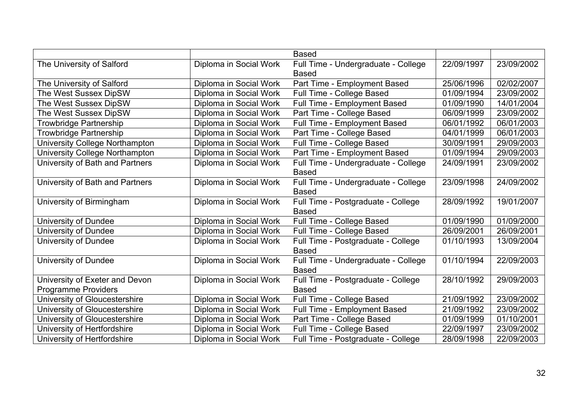|                                 |                        | <b>Based</b>                        |            |            |
|---------------------------------|------------------------|-------------------------------------|------------|------------|
| The University of Salford       | Diploma in Social Work | Full Time - Undergraduate - College | 22/09/1997 | 23/09/2002 |
|                                 |                        | <b>Based</b>                        |            |            |
| The University of Salford       | Diploma in Social Work | Part Time - Employment Based        | 25/06/1996 | 02/02/2007 |
| The West Sussex DipSW           | Diploma in Social Work | Full Time - College Based           | 01/09/1994 | 23/09/2002 |
| The West Sussex DipSW           | Diploma in Social Work | <b>Full Time - Employment Based</b> | 01/09/1990 | 14/01/2004 |
| The West Sussex DipSW           | Diploma in Social Work | Part Time - College Based           | 06/09/1999 | 23/09/2002 |
| <b>Trowbridge Partnership</b>   | Diploma in Social Work | Full Time - Employment Based        | 06/01/1992 | 06/01/2003 |
| <b>Trowbridge Partnership</b>   | Diploma in Social Work | Part Time - College Based           | 04/01/1999 | 06/01/2003 |
| University College Northampton  | Diploma in Social Work | Full Time - College Based           | 30/09/1991 | 29/09/2003 |
| University College Northampton  | Diploma in Social Work | Part Time - Employment Based        | 01/09/1994 | 29/09/2003 |
| University of Bath and Partners | Diploma in Social Work | Full Time - Undergraduate - College | 24/09/1991 | 23/09/2002 |
|                                 |                        | <b>Based</b>                        |            |            |
| University of Bath and Partners | Diploma in Social Work | Full Time - Undergraduate - College | 23/09/1998 | 24/09/2002 |
|                                 |                        | <b>Based</b>                        |            |            |
| University of Birmingham        | Diploma in Social Work | Full Time - Postgraduate - College  | 28/09/1992 | 19/01/2007 |
|                                 |                        | <b>Based</b>                        |            |            |
| <b>University of Dundee</b>     | Diploma in Social Work | Full Time - College Based           | 01/09/1990 | 01/09/2000 |
| University of Dundee            | Diploma in Social Work | Full Time - College Based           | 26/09/2001 | 26/09/2001 |
| <b>University of Dundee</b>     | Diploma in Social Work | Full Time - Postgraduate - College  | 01/10/1993 | 13/09/2004 |
|                                 |                        | <b>Based</b>                        |            |            |
| <b>University of Dundee</b>     | Diploma in Social Work | Full Time - Undergraduate - College | 01/10/1994 | 22/09/2003 |
|                                 |                        | <b>Based</b>                        |            |            |
| University of Exeter and Devon  | Diploma in Social Work | Full Time - Postgraduate - College  | 28/10/1992 | 29/09/2003 |
| Programme Providers             |                        | <b>Based</b>                        |            |            |
| University of Gloucestershire   | Diploma in Social Work | Full Time - College Based           | 21/09/1992 | 23/09/2002 |
| University of Gloucestershire   | Diploma in Social Work | <b>Full Time - Employment Based</b> | 21/09/1992 | 23/09/2002 |
| University of Gloucestershire   | Diploma in Social Work | Part Time - College Based           | 01/09/1999 | 01/10/2001 |
| University of Hertfordshire     | Diploma in Social Work | Full Time - College Based           | 22/09/1997 | 23/09/2002 |
| University of Hertfordshire     | Diploma in Social Work | Full Time - Postgraduate - College  | 28/09/1998 | 22/09/2003 |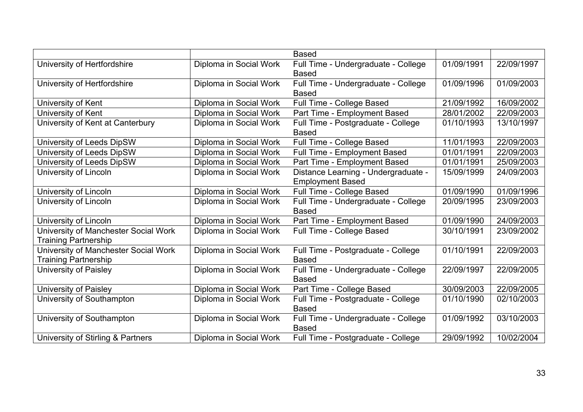|                                      |                        | <b>Based</b>                        |            |            |
|--------------------------------------|------------------------|-------------------------------------|------------|------------|
| University of Hertfordshire          | Diploma in Social Work | Full Time - Undergraduate - College | 01/09/1991 | 22/09/1997 |
|                                      |                        | <b>Based</b>                        |            |            |
| University of Hertfordshire          | Diploma in Social Work | Full Time - Undergraduate - College | 01/09/1996 | 01/09/2003 |
|                                      |                        | <b>Based</b>                        |            |            |
| University of Kent                   | Diploma in Social Work | Full Time - College Based           | 21/09/1992 | 16/09/2002 |
| University of Kent                   | Diploma in Social Work | Part Time - Employment Based        | 28/01/2002 | 22/09/2003 |
| University of Kent at Canterbury     | Diploma in Social Work | Full Time - Postgraduate - College  | 01/10/1993 | 13/10/1997 |
|                                      |                        | <b>Based</b>                        |            |            |
| University of Leeds DipSW            | Diploma in Social Work | Full Time - College Based           | 11/01/1993 | 22/09/2003 |
| University of Leeds DipSW            | Diploma in Social Work | Full Time - Employment Based        | 01/01/1991 | 22/09/2003 |
| University of Leeds DipSW            | Diploma in Social Work | Part Time - Employment Based        | 01/01/1991 | 25/09/2003 |
| University of Lincoln                | Diploma in Social Work | Distance Learning - Undergraduate - | 15/09/1999 | 24/09/2003 |
|                                      |                        | <b>Employment Based</b>             |            |            |
| University of Lincoln                | Diploma in Social Work | Full Time - College Based           | 01/09/1990 | 01/09/1996 |
| University of Lincoln                | Diploma in Social Work | Full Time - Undergraduate - College | 20/09/1995 | 23/09/2003 |
|                                      |                        | <b>Based</b>                        |            |            |
| University of Lincoln                | Diploma in Social Work | Part Time - Employment Based        | 01/09/1990 | 24/09/2003 |
| University of Manchester Social Work | Diploma in Social Work | Full Time - College Based           | 30/10/1991 | 23/09/2002 |
| <b>Training Partnership</b>          |                        |                                     |            |            |
| University of Manchester Social Work | Diploma in Social Work | Full Time - Postgraduate - College  | 01/10/1991 | 22/09/2003 |
| <b>Training Partnership</b>          |                        | <b>Based</b>                        |            |            |
| University of Paisley                | Diploma in Social Work | Full Time - Undergraduate - College | 22/09/1997 | 22/09/2005 |
|                                      |                        | <b>Based</b>                        |            |            |
| University of Paisley                | Diploma in Social Work | Part Time - College Based           | 30/09/2003 | 22/09/2005 |
| University of Southampton            | Diploma in Social Work | Full Time - Postgraduate - College  | 01/10/1990 | 02/10/2003 |
|                                      |                        | <b>Based</b>                        |            |            |
| University of Southampton            | Diploma in Social Work | Full Time - Undergraduate - College | 01/09/1992 | 03/10/2003 |
|                                      |                        | <b>Based</b>                        |            |            |
| University of Stirling & Partners    | Diploma in Social Work | Full Time - Postgraduate - College  | 29/09/1992 | 10/02/2004 |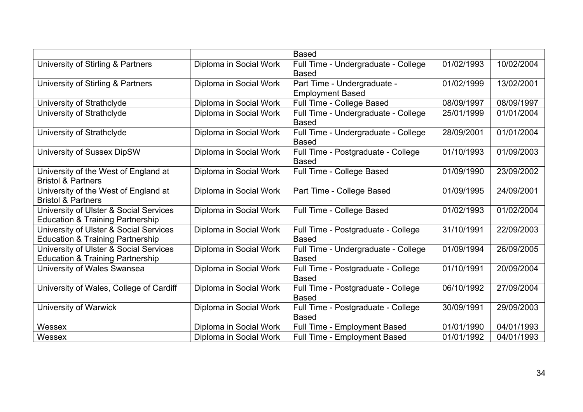|                                             |                        | <b>Based</b>                        |            |            |
|---------------------------------------------|------------------------|-------------------------------------|------------|------------|
| University of Stirling & Partners           | Diploma in Social Work | Full Time - Undergraduate - College | 01/02/1993 | 10/02/2004 |
|                                             |                        | <b>Based</b>                        |            |            |
| University of Stirling & Partners           | Diploma in Social Work | Part Time - Undergraduate -         | 01/02/1999 | 13/02/2001 |
|                                             |                        | <b>Employment Based</b>             |            |            |
| University of Strathclyde                   | Diploma in Social Work | Full Time - College Based           | 08/09/1997 | 08/09/1997 |
| University of Strathclyde                   | Diploma in Social Work | Full Time - Undergraduate - College | 25/01/1999 | 01/01/2004 |
|                                             |                        | <b>Based</b>                        |            |            |
| University of Strathclyde                   | Diploma in Social Work | Full Time - Undergraduate - College | 28/09/2001 | 01/01/2004 |
|                                             |                        | <b>Based</b>                        |            |            |
| University of Sussex DipSW                  | Diploma in Social Work | Full Time - Postgraduate - College  | 01/10/1993 | 01/09/2003 |
|                                             |                        | <b>Based</b>                        |            |            |
| University of the West of England at        | Diploma in Social Work | Full Time - College Based           | 01/09/1990 | 23/09/2002 |
| <b>Bristol &amp; Partners</b>               |                        |                                     |            |            |
| University of the West of England at        | Diploma in Social Work | Part Time - College Based           | 01/09/1995 | 24/09/2001 |
| <b>Bristol &amp; Partners</b>               |                        |                                     |            |            |
| University of Ulster & Social Services      | Diploma in Social Work | Full Time - College Based           | 01/02/1993 | 01/02/2004 |
| <b>Education &amp; Training Partnership</b> |                        |                                     |            |            |
| University of Ulster & Social Services      | Diploma in Social Work | Full Time - Postgraduate - College  | 31/10/1991 | 22/09/2003 |
| <b>Education &amp; Training Partnership</b> |                        | <b>Based</b>                        |            |            |
| University of Ulster & Social Services      | Diploma in Social Work | Full Time - Undergraduate - College | 01/09/1994 | 26/09/2005 |
| <b>Education &amp; Training Partnership</b> |                        | <b>Based</b>                        |            |            |
| University of Wales Swansea                 | Diploma in Social Work | Full Time - Postgraduate - College  | 01/10/1991 | 20/09/2004 |
|                                             |                        | <b>Based</b>                        |            |            |
| University of Wales, College of Cardiff     | Diploma in Social Work | Full Time - Postgraduate - College  | 06/10/1992 | 27/09/2004 |
|                                             |                        | <b>Based</b>                        |            |            |
| University of Warwick                       | Diploma in Social Work | Full Time - Postgraduate - College  | 30/09/1991 | 29/09/2003 |
|                                             |                        | <b>Based</b>                        |            |            |
| Wessex                                      | Diploma in Social Work | Full Time - Employment Based        | 01/01/1990 | 04/01/1993 |
| Wessex                                      | Diploma in Social Work | Full Time - Employment Based        | 01/01/1992 | 04/01/1993 |